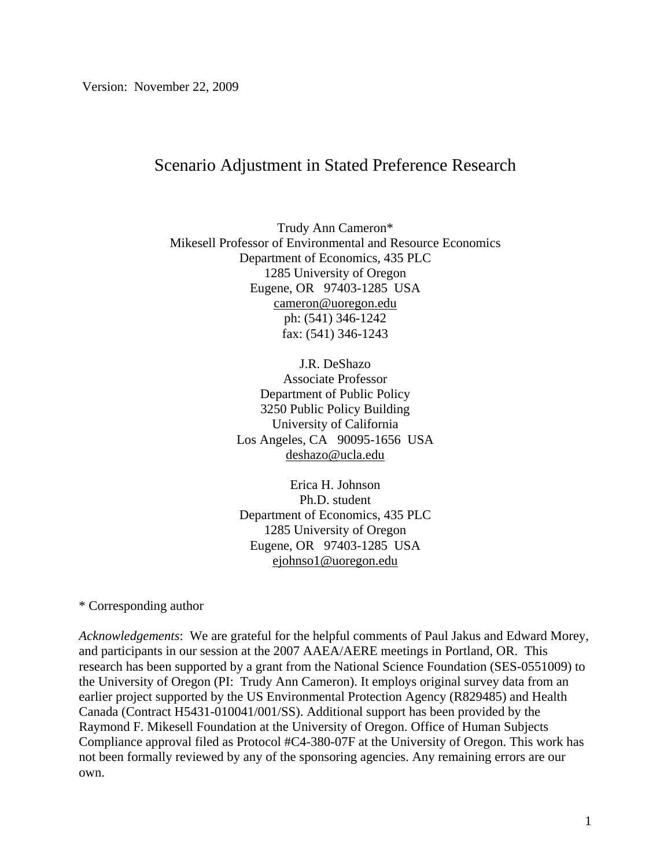# Scenario Adjustment in Stated Preference Research

Trudy Ann Cameron\* Mikesell Professor of Environmental and Resource Economics Department of Economics, 435 PLC 1285 University of Oregon Eugene, OR 97403-1285 USA cameron@uoregon.edu ph: (541) 346-1242 fax: (541) 346-1243

> J.R. DeShazo Associate Professor Department of Public Policy 3250 Public Policy Building University of California Los Angeles, CA 90095-1656 USA deshazo@ucla.edu

Erica H. Johnson Ph.D. student Department of Economics, 435 PLC 1285 University of Oregon Eugene, OR 97403-1285 USA ejohnso1@uoregon.edu

\* Corresponding author

*Acknowledgements*: We are grateful for the helpful comments of Paul Jakus and Edward Morey, and participants in our session at the 2007 AAEA/AERE meetings in Portland, OR. This research has been supported by a grant from the National Science Foundation (SES-0551009) to the University of Oregon (PI: Trudy Ann Cameron). It employs original survey data from an earlier project supported by the US Environmental Protection Agency (R829485) and Health Canada (Contract H5431-010041/001/SS). Additional support has been provided by the Raymond F. Mikesell Foundation at the University of Oregon. Office of Human Subjects Compliance approval filed as Protocol #C4-380-07F at the University of Oregon. This work has not been formally reviewed by any of the sponsoring agencies. Any remaining errors are our own.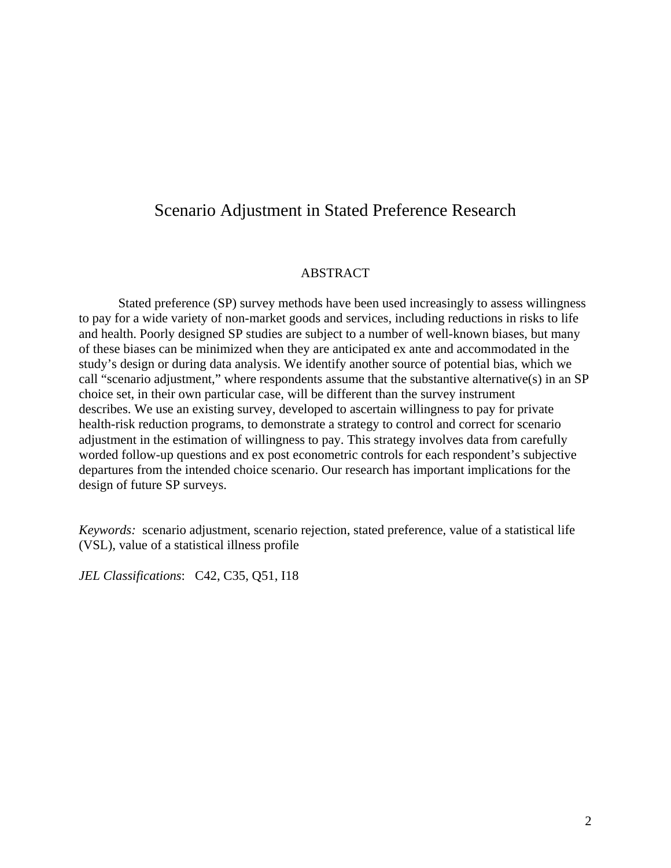# Scenario Adjustment in Stated Preference Research

## ABSTRACT

Stated preference (SP) survey methods have been used increasingly to assess willingness to pay for a wide variety of non-market goods and services, including reductions in risks to life and health. Poorly designed SP studies are subject to a number of well-known biases, but many of these biases can be minimized when they are anticipated ex ante and accommodated in the study's design or during data analysis. We identify another source of potential bias, which we call "scenario adjustment," where respondents assume that the substantive alternative(s) in an SP choice set, in their own particular case, will be different than the survey instrument describes. We use an existing survey, developed to ascertain willingness to pay for private health-risk reduction programs, to demonstrate a strategy to control and correct for scenario adjustment in the estimation of willingness to pay. This strategy involves data from carefully worded follow-up questions and ex post econometric controls for each respondent's subjective departures from the intended choice scenario. Our research has important implications for the design of future SP surveys.

*Keywords:* scenario adjustment, scenario rejection, stated preference, value of a statistical life (VSL), value of a statistical illness profile

*JEL Classifications*: C42, C35, Q51, I18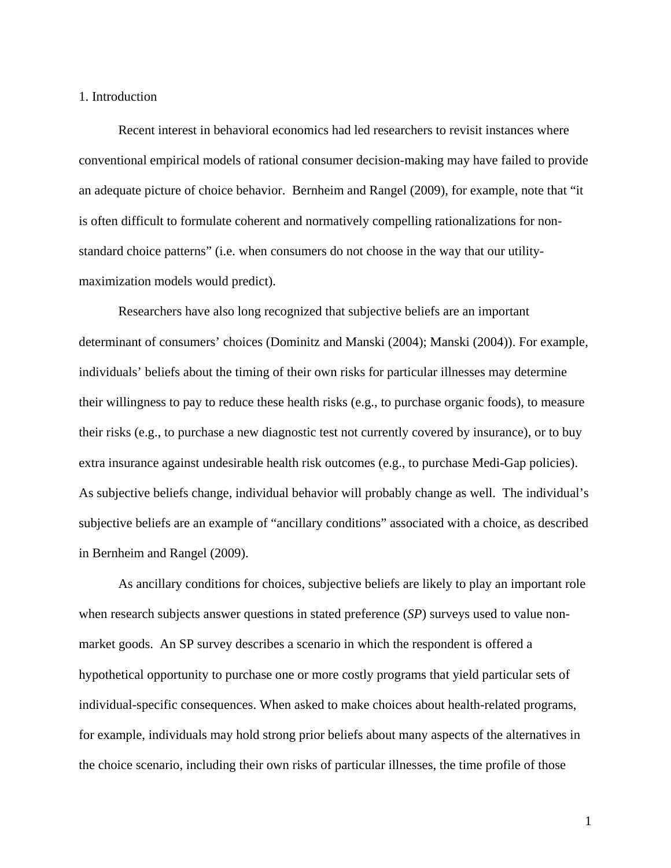### 1. Introduction

Recent interest in behavioral economics had led researchers to revisit instances where conventional empirical models of rational consumer decision-making may have failed to provide an adequate picture of choice behavior. Bernheim and Rangel (2009), for example, note that "it is often difficult to formulate coherent and normatively compelling rationalizations for nonstandard choice patterns" (i.e. when consumers do not choose in the way that our utilitymaximization models would predict).

Researchers have also long recognized that subjective beliefs are an important determinant of consumers' choices (Dominitz and Manski (2004); Manski (2004)). For example, individuals' beliefs about the timing of their own risks for particular illnesses may determine their willingness to pay to reduce these health risks (e.g., to purchase organic foods), to measure their risks (e.g., to purchase a new diagnostic test not currently covered by insurance), or to buy extra insurance against undesirable health risk outcomes (e.g., to purchase Medi-Gap policies). As subjective beliefs change, individual behavior will probably change as well. The individual's subjective beliefs are an example of "ancillary conditions" associated with a choice, as described in Bernheim and Rangel (2009).

As ancillary conditions for choices, subjective beliefs are likely to play an important role when research subjects answer questions in stated preference (*SP*) surveys used to value nonmarket goods. An SP survey describes a scenario in which the respondent is offered a hypothetical opportunity to purchase one or more costly programs that yield particular sets of individual-specific consequences. When asked to make choices about health-related programs, for example, individuals may hold strong prior beliefs about many aspects of the alternatives in the choice scenario, including their own risks of particular illnesses, the time profile of those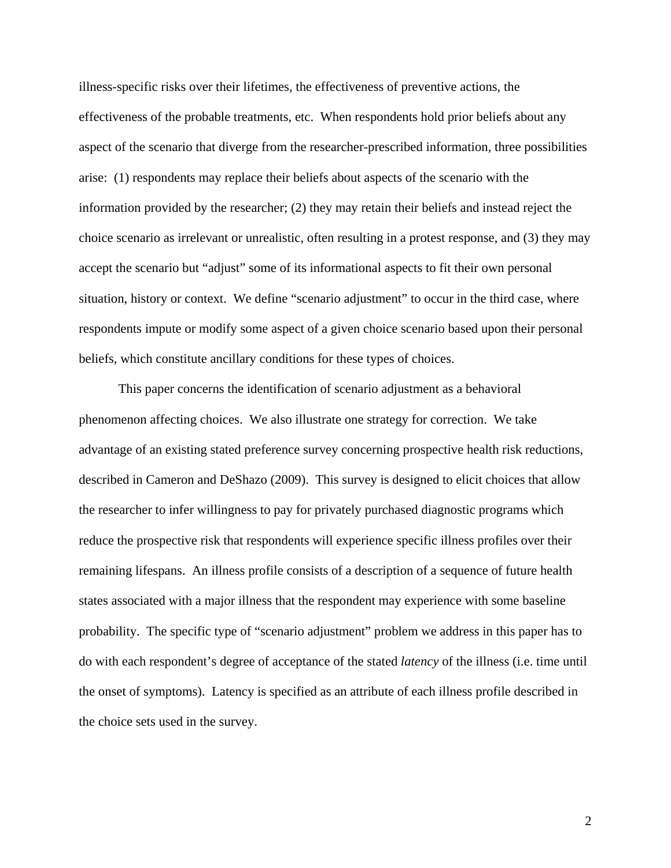illness-specific risks over their lifetimes, the effectiveness of preventive actions, the effectiveness of the probable treatments, etc. When respondents hold prior beliefs about any aspect of the scenario that diverge from the researcher-prescribed information, three possibilities arise: (1) respondents may replace their beliefs about aspects of the scenario with the information provided by the researcher; (2) they may retain their beliefs and instead reject the choice scenario as irrelevant or unrealistic, often resulting in a protest response, and (3) they may accept the scenario but "adjust" some of its informational aspects to fit their own personal situation, history or context. We define "scenario adjustment" to occur in the third case, where respondents impute or modify some aspect of a given choice scenario based upon their personal beliefs, which constitute ancillary conditions for these types of choices.

This paper concerns the identification of scenario adjustment as a behavioral phenomenon affecting choices. We also illustrate one strategy for correction. We take advantage of an existing stated preference survey concerning prospective health risk reductions, described in Cameron and DeShazo (2009). This survey is designed to elicit choices that allow the researcher to infer willingness to pay for privately purchased diagnostic programs which reduce the prospective risk that respondents will experience specific illness profiles over their remaining lifespans. An illness profile consists of a description of a sequence of future health states associated with a major illness that the respondent may experience with some baseline probability. The specific type of "scenario adjustment" problem we address in this paper has to do with each respondent's degree of acceptance of the stated *latency* of the illness (i.e. time until the onset of symptoms). Latency is specified as an attribute of each illness profile described in the choice sets used in the survey.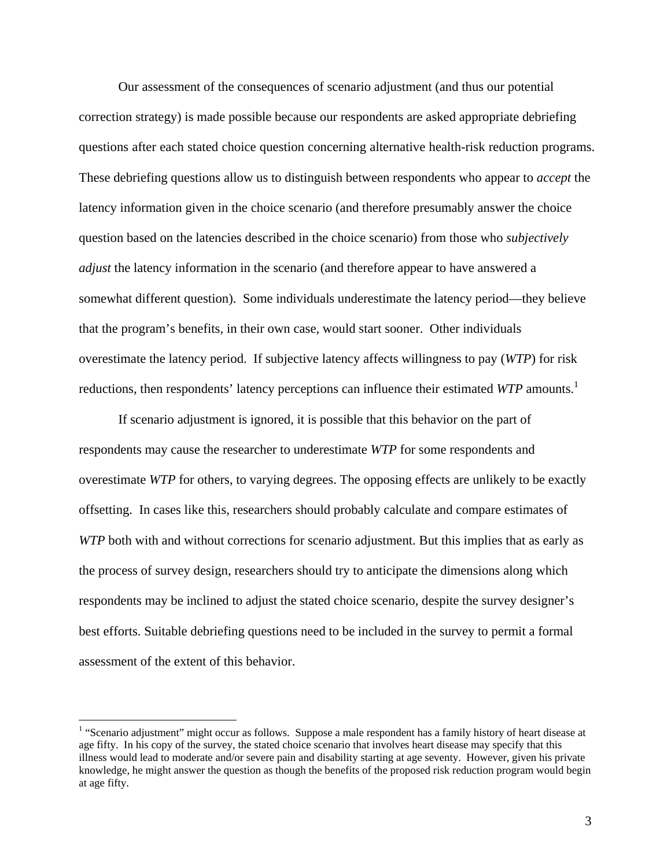Our assessment of the consequences of scenario adjustment (and thus our potential correction strategy) is made possible because our respondents are asked appropriate debriefing questions after each stated choice question concerning alternative health-risk reduction programs. These debriefing questions allow us to distinguish between respondents who appear to *accept* the latency information given in the choice scenario (and therefore presumably answer the choice question based on the latencies described in the choice scenario) from those who *subjectively adjust* the latency information in the scenario (and therefore appear to have answered a somewhat different question). Some individuals underestimate the latency period—they believe that the program's benefits, in their own case, would start sooner. Other individuals overestimate the latency period. If subjective latency affects willingness to pay (*WTP*) for risk reductions, then respondents' latency perceptions can influence their estimated *WTP* amounts.<sup>1</sup>

If scenario adjustment is ignored, it is possible that this behavior on the part of respondents may cause the researcher to underestimate *WTP* for some respondents and overestimate *WTP* for others, to varying degrees. The opposing effects are unlikely to be exactly offsetting. In cases like this, researchers should probably calculate and compare estimates of *WTP* both with and without corrections for scenario adjustment. But this implies that as early as the process of survey design, researchers should try to anticipate the dimensions along which respondents may be inclined to adjust the stated choice scenario, despite the survey designer's best efforts. Suitable debriefing questions need to be included in the survey to permit a formal assessment of the extent of this behavior.

<sup>&</sup>lt;sup>1</sup> "Scenario adjustment" might occur as follows. Suppose a male respondent has a family history of heart disease at age fifty. In his copy of the survey, the stated choice scenario that involves heart disease may specify that this illness would lead to moderate and/or severe pain and disability starting at age seventy. However, given his private knowledge, he might answer the question as though the benefits of the proposed risk reduction program would begin at age fifty.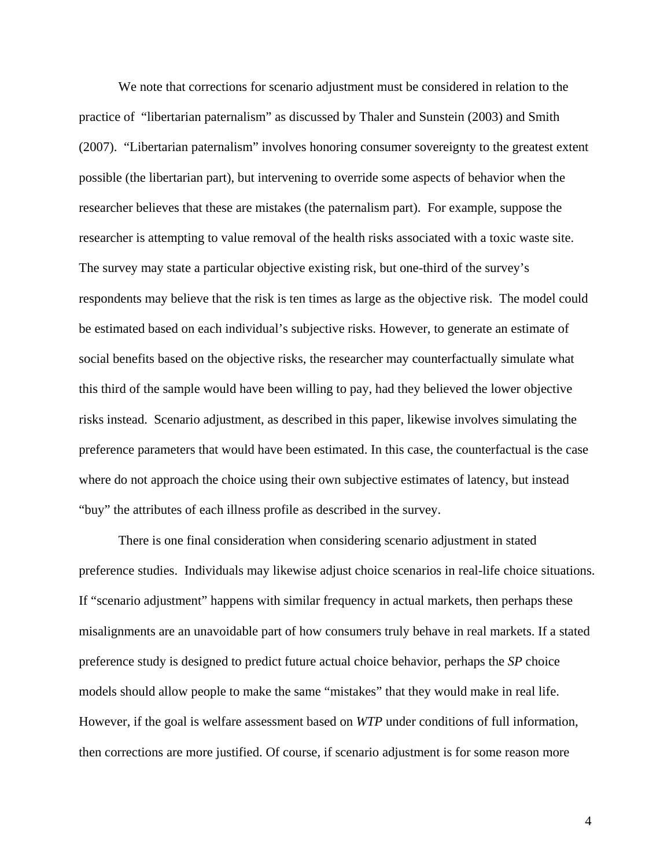We note that corrections for scenario adjustment must be considered in relation to the practice of "libertarian paternalism" as discussed by Thaler and Sunstein (2003) and Smith (2007). "Libertarian paternalism" involves honoring consumer sovereignty to the greatest extent possible (the libertarian part), but intervening to override some aspects of behavior when the researcher believes that these are mistakes (the paternalism part). For example, suppose the researcher is attempting to value removal of the health risks associated with a toxic waste site. The survey may state a particular objective existing risk, but one-third of the survey's respondents may believe that the risk is ten times as large as the objective risk. The model could be estimated based on each individual's subjective risks. However, to generate an estimate of social benefits based on the objective risks, the researcher may counterfactually simulate what this third of the sample would have been willing to pay, had they believed the lower objective risks instead. Scenario adjustment, as described in this paper, likewise involves simulating the preference parameters that would have been estimated. In this case, the counterfactual is the case where do not approach the choice using their own subjective estimates of latency, but instead "buy" the attributes of each illness profile as described in the survey.

There is one final consideration when considering scenario adjustment in stated preference studies. Individuals may likewise adjust choice scenarios in real-life choice situations. If "scenario adjustment" happens with similar frequency in actual markets, then perhaps these misalignments are an unavoidable part of how consumers truly behave in real markets. If a stated preference study is designed to predict future actual choice behavior, perhaps the *SP* choice models should allow people to make the same "mistakes" that they would make in real life. However, if the goal is welfare assessment based on *WTP* under conditions of full information, then corrections are more justified. Of course, if scenario adjustment is for some reason more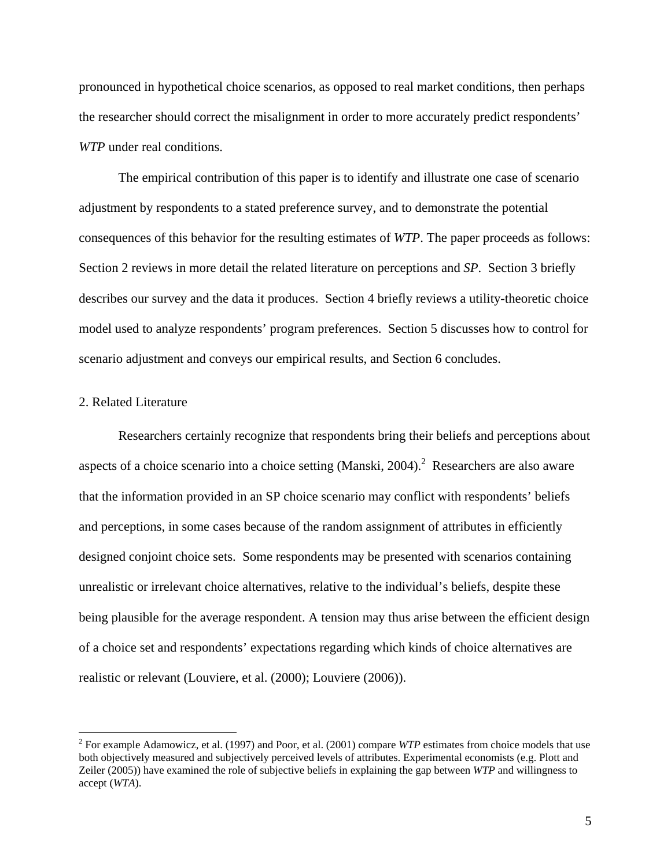pronounced in hypothetical choice scenarios, as opposed to real market conditions, then perhaps the researcher should correct the misalignment in order to more accurately predict respondents' *WTP* under real conditions.

The empirical contribution of this paper is to identify and illustrate one case of scenario adjustment by respondents to a stated preference survey, and to demonstrate the potential consequences of this behavior for the resulting estimates of *WTP*. The paper proceeds as follows: Section 2 reviews in more detail the related literature on perceptions and *SP*. Section 3 briefly describes our survey and the data it produces. Section 4 briefly reviews a utility-theoretic choice model used to analyze respondents' program preferences. Section 5 discusses how to control for scenario adjustment and conveys our empirical results, and Section 6 concludes.

### 2. Related Literature

 $\overline{a}$ 

Researchers certainly recognize that respondents bring their beliefs and perceptions about aspects of a choice scenario into a choice setting (Manski, 2004).<sup>2</sup> Researchers are also aware that the information provided in an SP choice scenario may conflict with respondents' beliefs and perceptions, in some cases because of the random assignment of attributes in efficiently designed conjoint choice sets. Some respondents may be presented with scenarios containing unrealistic or irrelevant choice alternatives, relative to the individual's beliefs, despite these being plausible for the average respondent. A tension may thus arise between the efficient design of a choice set and respondents' expectations regarding which kinds of choice alternatives are realistic or relevant (Louviere, et al. (2000); Louviere (2006)).

<sup>&</sup>lt;sup>2</sup> For example Adamowicz, et al. (1997) and Poor, et al. (2001) compare *WTP* estimates from choice models that use both objectively measured and subjectively perceived levels of attributes. Experimental economists (e.g. Plott and Zeiler (2005)) have examined the role of subjective beliefs in explaining the gap between *WTP* and willingness to accept (*WTA*).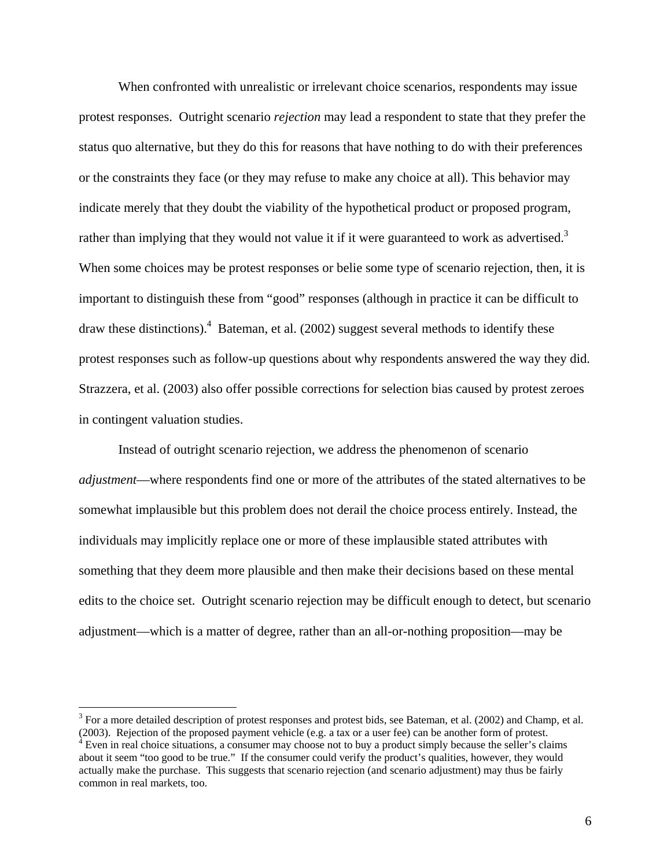When confronted with unrealistic or irrelevant choice scenarios, respondents may issue protest responses. Outright scenario *rejection* may lead a respondent to state that they prefer the status quo alternative, but they do this for reasons that have nothing to do with their preferences or the constraints they face (or they may refuse to make any choice at all). This behavior may indicate merely that they doubt the viability of the hypothetical product or proposed program, rather than implying that they would not value it if it were guaranteed to work as advertised.<sup>3</sup> When some choices may be protest responses or belie some type of scenario rejection, then, it is important to distinguish these from "good" responses (although in practice it can be difficult to draw these distinctions). $4$  Bateman, et al. (2002) suggest several methods to identify these protest responses such as follow-up questions about why respondents answered the way they did. Strazzera, et al. (2003) also offer possible corrections for selection bias caused by protest zeroes in contingent valuation studies.

Instead of outright scenario rejection, we address the phenomenon of scenario *adjustment*—where respondents find one or more of the attributes of the stated alternatives to be somewhat implausible but this problem does not derail the choice process entirely. Instead, the individuals may implicitly replace one or more of these implausible stated attributes with something that they deem more plausible and then make their decisions based on these mental edits to the choice set. Outright scenario rejection may be difficult enough to detect, but scenario adjustment—which is a matter of degree, rather than an all-or-nothing proposition—may be

 $\overline{a}$ 

 $3$  For a more detailed description of protest responses and protest bids, see Bateman, et al. (2002) and Champ, et al. (2003). Rejection of the proposed payment vehicle (e.g. a tax or a user fee) can be another form of protest.

 $4$  Even in real choice situations, a consumer may choose not to buy a product simply because the seller's claims about it seem "too good to be true." If the consumer could verify the product's qualities, however, they would actually make the purchase. This suggests that scenario rejection (and scenario adjustment) may thus be fairly common in real markets, too.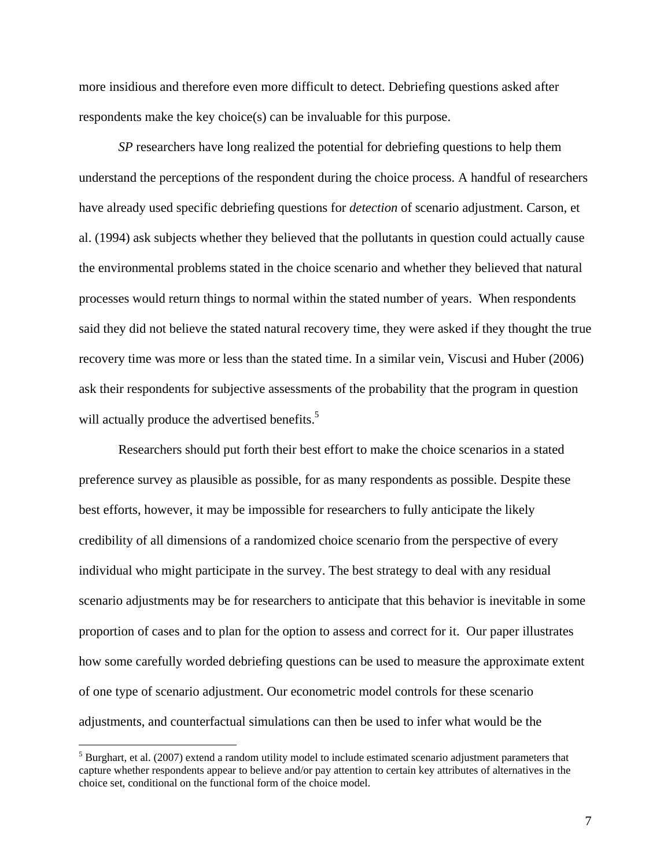more insidious and therefore even more difficult to detect. Debriefing questions asked after respondents make the key choice(s) can be invaluable for this purpose.

*SP* researchers have long realized the potential for debriefing questions to help them understand the perceptions of the respondent during the choice process. A handful of researchers have already used specific debriefing questions for *detection* of scenario adjustment. Carson, et al. (1994) ask subjects whether they believed that the pollutants in question could actually cause the environmental problems stated in the choice scenario and whether they believed that natural processes would return things to normal within the stated number of years. When respondents said they did not believe the stated natural recovery time, they were asked if they thought the true recovery time was more or less than the stated time. In a similar vein, Viscusi and Huber (2006) ask their respondents for subjective assessments of the probability that the program in question will actually produce the advertised benefits.<sup>5</sup>

 Researchers should put forth their best effort to make the choice scenarios in a stated preference survey as plausible as possible, for as many respondents as possible. Despite these best efforts, however, it may be impossible for researchers to fully anticipate the likely credibility of all dimensions of a randomized choice scenario from the perspective of every individual who might participate in the survey. The best strategy to deal with any residual scenario adjustments may be for researchers to anticipate that this behavior is inevitable in some proportion of cases and to plan for the option to assess and correct for it. Our paper illustrates how some carefully worded debriefing questions can be used to measure the approximate extent of one type of scenario adjustment. Our econometric model controls for these scenario adjustments, and counterfactual simulations can then be used to infer what would be the

 $\overline{a}$ 

 $<sup>5</sup>$  Burghart, et al. (2007) extend a random utility model to include estimated scenario adjustment parameters that</sup> capture whether respondents appear to believe and/or pay attention to certain key attributes of alternatives in the choice set, conditional on the functional form of the choice model.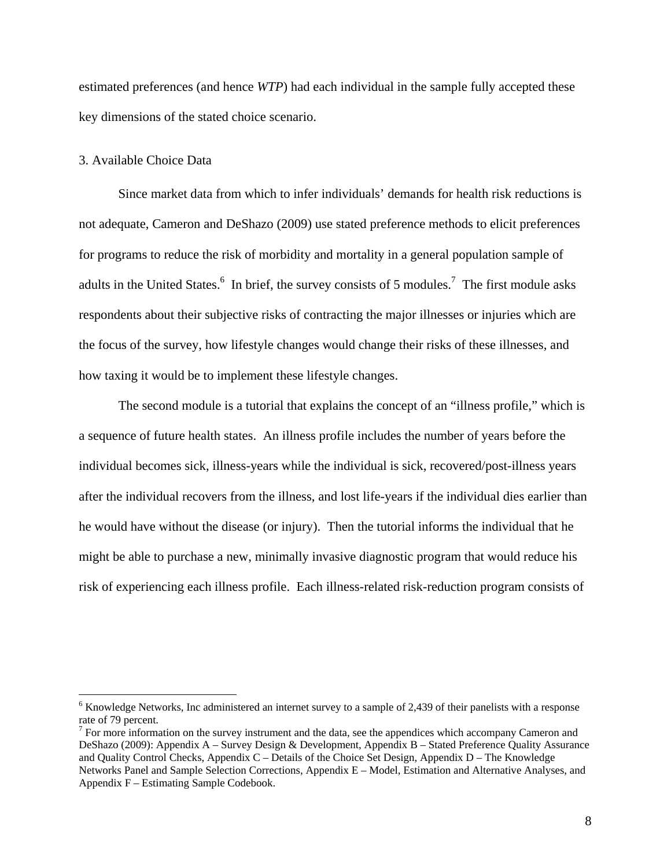estimated preferences (and hence *WTP*) had each individual in the sample fully accepted these key dimensions of the stated choice scenario.

### 3. Available Choice Data

 $\overline{a}$ 

Since market data from which to infer individuals' demands for health risk reductions is not adequate, Cameron and DeShazo (2009) use stated preference methods to elicit preferences for programs to reduce the risk of morbidity and mortality in a general population sample of adults in the United States.<sup>6</sup> In brief, the survey consists of 5 modules.<sup>7</sup> The first module asks respondents about their subjective risks of contracting the major illnesses or injuries which are the focus of the survey, how lifestyle changes would change their risks of these illnesses, and how taxing it would be to implement these lifestyle changes.

The second module is a tutorial that explains the concept of an "illness profile," which is a sequence of future health states. An illness profile includes the number of years before the individual becomes sick, illness-years while the individual is sick, recovered/post-illness years after the individual recovers from the illness, and lost life-years if the individual dies earlier than he would have without the disease (or injury). Then the tutorial informs the individual that he might be able to purchase a new, minimally invasive diagnostic program that would reduce his risk of experiencing each illness profile. Each illness-related risk-reduction program consists of

 $6$  Knowledge Networks, Inc administered an internet survey to a sample of 2,439 of their panelists with a response rate of 79 percent.

 $7$  For more information on the survey instrument and the data, see the appendices which accompany Cameron and DeShazo (2009): Appendix A – Survey Design & Development, Appendix B – Stated Preference Quality Assurance and Quality Control Checks, Appendix C – Details of the Choice Set Design, Appendix D – The Knowledge Networks Panel and Sample Selection Corrections, Appendix E – Model, Estimation and Alternative Analyses, and Appendix F – Estimating Sample Codebook.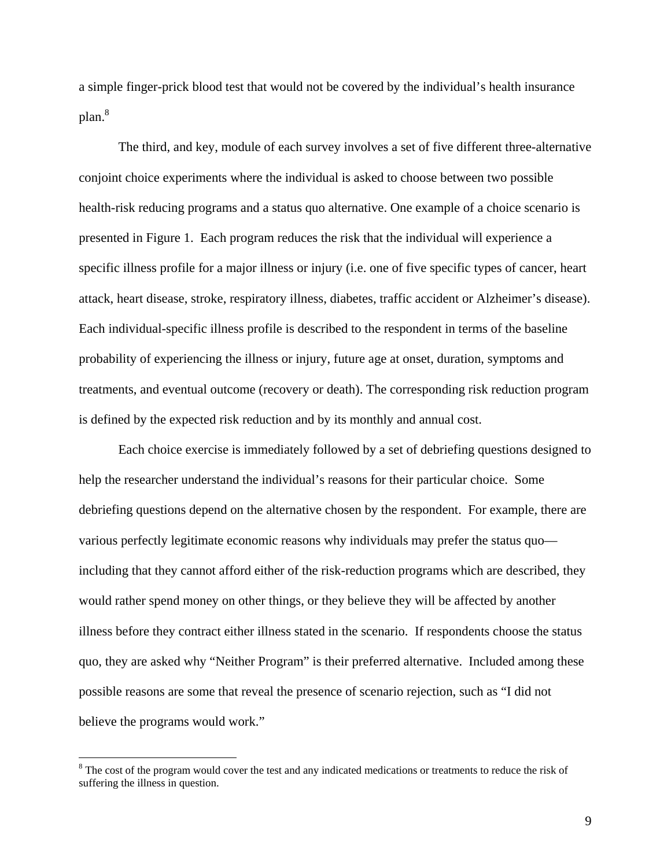a simple finger-prick blood test that would not be covered by the individual's health insurance plan.<sup>8</sup>

The third, and key, module of each survey involves a set of five different three-alternative conjoint choice experiments where the individual is asked to choose between two possible health-risk reducing programs and a status quo alternative. One example of a choice scenario is presented in Figure 1. Each program reduces the risk that the individual will experience a specific illness profile for a major illness or injury (i.e. one of five specific types of cancer, heart attack, heart disease, stroke, respiratory illness, diabetes, traffic accident or Alzheimer's disease). Each individual-specific illness profile is described to the respondent in terms of the baseline probability of experiencing the illness or injury, future age at onset, duration, symptoms and treatments, and eventual outcome (recovery or death). The corresponding risk reduction program is defined by the expected risk reduction and by its monthly and annual cost.

Each choice exercise is immediately followed by a set of debriefing questions designed to help the researcher understand the individual's reasons for their particular choice. Some debriefing questions depend on the alternative chosen by the respondent. For example, there are various perfectly legitimate economic reasons why individuals may prefer the status quo including that they cannot afford either of the risk-reduction programs which are described, they would rather spend money on other things, or they believe they will be affected by another illness before they contract either illness stated in the scenario. If respondents choose the status quo, they are asked why "Neither Program" is their preferred alternative. Included among these possible reasons are some that reveal the presence of scenario rejection, such as "I did not believe the programs would work."

<sup>&</sup>lt;sup>8</sup>The cost of the program would cover the test and any indicated medications or treatments to reduce the risk of suffering the illness in question.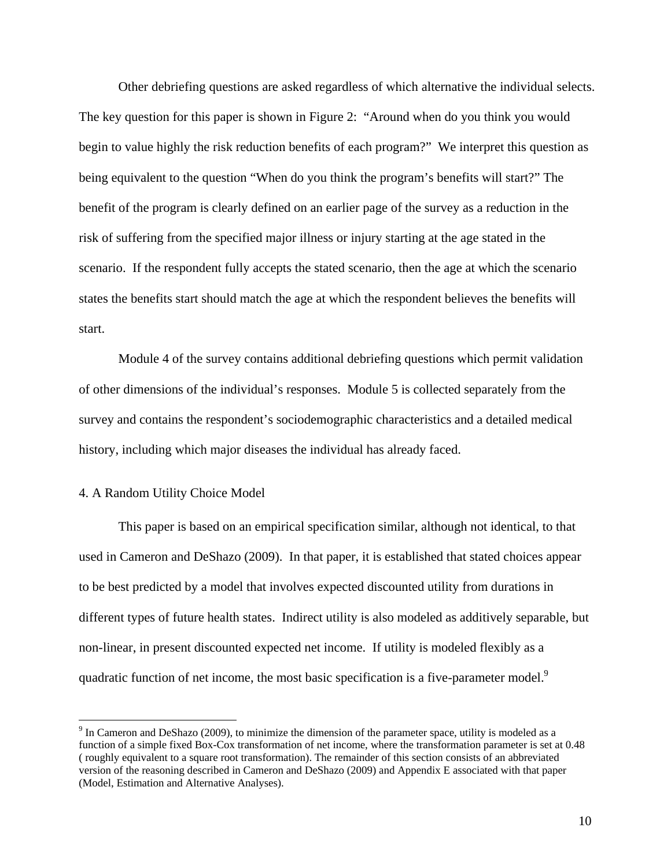Other debriefing questions are asked regardless of which alternative the individual selects. The key question for this paper is shown in Figure 2: "Around when do you think you would begin to value highly the risk reduction benefits of each program?" We interpret this question as being equivalent to the question "When do you think the program's benefits will start?" The benefit of the program is clearly defined on an earlier page of the survey as a reduction in the risk of suffering from the specified major illness or injury starting at the age stated in the scenario. If the respondent fully accepts the stated scenario, then the age at which the scenario states the benefits start should match the age at which the respondent believes the benefits will start.

Module 4 of the survey contains additional debriefing questions which permit validation of other dimensions of the individual's responses. Module 5 is collected separately from the survey and contains the respondent's sociodemographic characteristics and a detailed medical history, including which major diseases the individual has already faced.

### 4. A Random Utility Choice Model

1

This paper is based on an empirical specification similar, although not identical, to that used in Cameron and DeShazo (2009). In that paper, it is established that stated choices appear to be best predicted by a model that involves expected discounted utility from durations in different types of future health states. Indirect utility is also modeled as additively separable, but non-linear, in present discounted expected net income. If utility is modeled flexibly as a quadratic function of net income, the most basic specification is a five-parameter model.<sup>9</sup>

 $9 \text{ In Cameron and DeShazo (2009)}$ , to minimize the dimension of the parameter space, utility is modeled as a function of a simple fixed Box-Cox transformation of net income, where the transformation parameter is set at 0.48 ( roughly equivalent to a square root transformation). The remainder of this section consists of an abbreviated version of the reasoning described in Cameron and DeShazo (2009) and Appendix E associated with that paper (Model, Estimation and Alternative Analyses).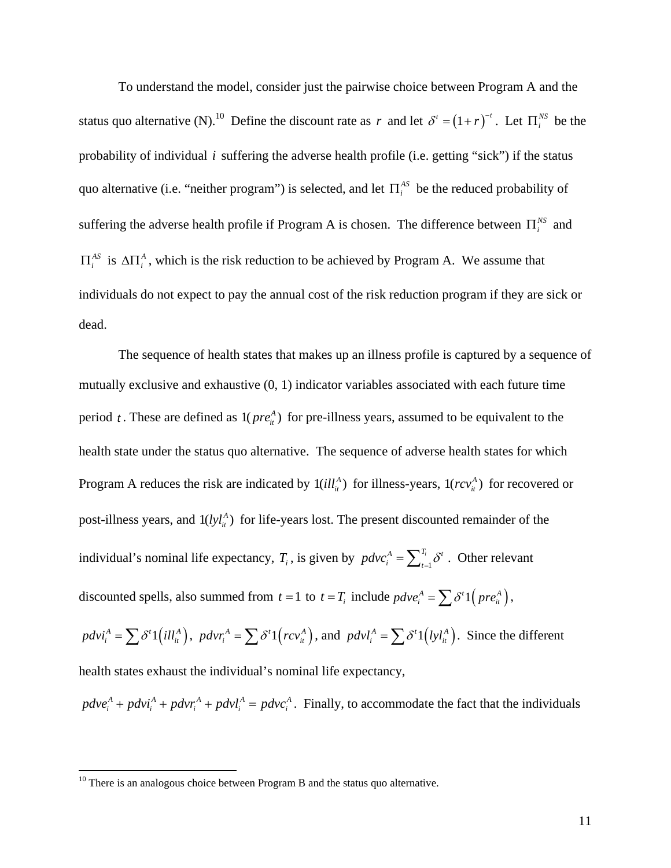To understand the model, consider just the pairwise choice between Program A and the status quo alternative (N).<sup>10</sup> Define the discount rate as *r* and let  $\delta^t = (1+r)^{-t}$ . Let  $\Pi_i^{NS}$  be the probability of individual *i* suffering the adverse health profile (i.e. getting "sick") if the status quo alternative (i.e. "neither program") is selected, and let  $\Pi_i^{AS}$  be the reduced probability of suffering the adverse health profile if Program A is chosen. The difference between  $\Pi_i^{NS}$  and  $\Pi_i^{AS}$  is  $\Delta \Pi_i^A$ , which is the risk reduction to be achieved by Program A. We assume that individuals do not expect to pay the annual cost of the risk reduction program if they are sick or dead.

The sequence of health states that makes up an illness profile is captured by a sequence of mutually exclusive and exhaustive (0, 1) indicator variables associated with each future time period *t*. These are defined as  $1(pre_i^A)$  for pre-illness years, assumed to be equivalent to the health state under the status quo alternative. The sequence of adverse health states for which Program A reduces the risk are indicated by  $1(i l l_i^A)$  for illness-years,  $1(r c v_i^A)$  for recovered or post-illness years, and  $1(ly l<sub>i</sub><sup>A</sup>)$  for life-years lost. The present discounted remainder of the individual's nominal life expectancy,  $T_i$ , is given by  $pdvc_i^A = \sum_{i=1}^{T_i} \delta^i$ . Other relevant discounted spells, also summed from  $t = 1$  to  $t = T_i$  include  $pdve_i^A = \sum \delta' 1 (pre_{ii}^A)$ ,  $pdv_i^A = \sum \delta^t 1 \left( i l l_n^A \right)$ ,  $pdv_i^A = \sum \delta^t 1 \left( rcv_{i}^A \right)$ , and  $pdv_i^A = \sum \delta^t 1 \left( i v l_n^A \right)$ . Since the different

health states exhaust the individual's nominal life expectancy,

 $p dve_i^A + p dv_i^A + p dv_i^A + p dv_i^A = p dv_i^A$ . Finally, to accommodate the fact that the individuals

<u>.</u>

 $10$  There is an analogous choice between Program B and the status quo alternative.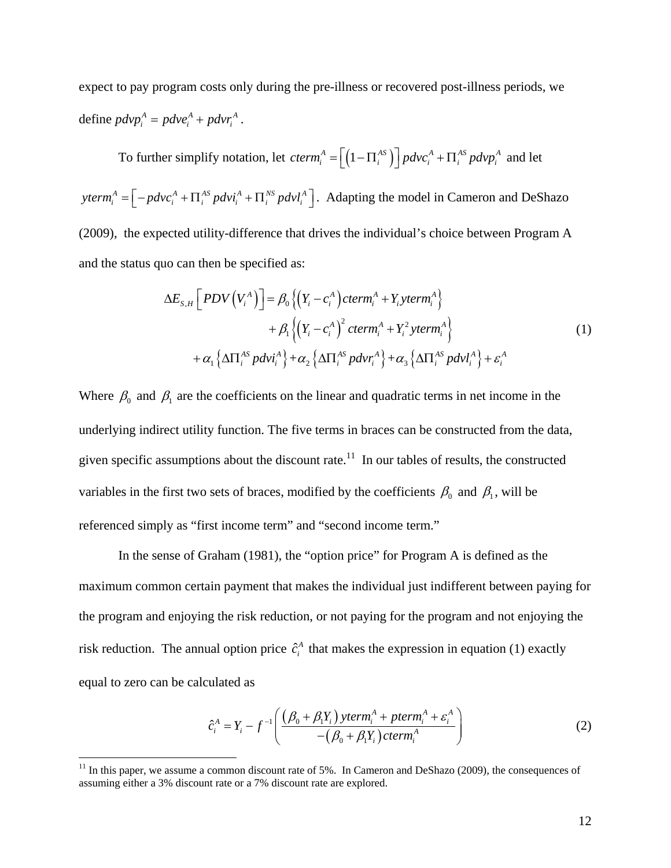expect to pay program costs only during the pre-illness or recovered post-illness periods, we define  $pdvp_i^A = pdve_i^A + pdvr_i^A$ .

To further simplify notation, let  $\text{cterm}_i^A = \left[ \left( 1 - \prod_i^{AS} \right) \right] \text{p} dv c_i^A + \prod_i^{AS} \text{p} dv p_i^A$  and let  $\gamma$ *term*<sub>*i*</sub><sup> $A$ </sup> =  $\left[-\frac{p}{q}A + \prod_{i}^{AS} p dv i_i^A + \prod_{i}^{NS} p dv i_i^A\right]$ . Adapting the model in Cameron and DeShazo (2009), the expected utility-difference that drives the individual's choice between Program A and the status quo can then be specified as:

$$
\Delta E_{S,H} \left[ PDV\left(V_i^A\right)\right] = \beta_0 \left\{ \left(Y_i - c_i^A\right) \text{cterm}_i^A + Y_i \text{yterm}_i^A \right\} + \beta_1 \left\{ \left(Y_i - c_i^A\right)^2 \text{cterm}_i^A + Y_i^2 \text{yterm}_i^A \right\} + \alpha_1 \left\{ \Delta \Pi_i^{AS} \text{pdv}_i^A \right\} + \alpha_2 \left\{ \Delta \Pi_i^{AS} \text{pdv}_i^A \right\} + \alpha_3 \left\{ \Delta \Pi_i^{AS} \text{pdv}_i^A \right\} + \varepsilon_i^A
$$
 (1)

Where  $\beta_0$  and  $\beta_1$  are the coefficients on the linear and quadratic terms in net income in the underlying indirect utility function. The five terms in braces can be constructed from the data, given specific assumptions about the discount rate.<sup>11</sup> In our tables of results, the constructed variables in the first two sets of braces, modified by the coefficients  $\beta_0$  and  $\beta_1$ , will be referenced simply as "first income term" and "second income term."

 In the sense of Graham (1981), the "option price" for Program A is defined as the maximum common certain payment that makes the individual just indifferent between paying for the program and enjoying the risk reduction, or not paying for the program and not enjoying the risk reduction. The annual option price  $\hat{c}_i^A$  that makes the expression in equation (1) exactly equal to zero can be calculated as

$$
\hat{c}_i^A = Y_i - f^{-1} \left( \frac{\left(\beta_0 + \beta_1 Y_i\right) \text{ yterm}_i^A + \text{ pterm}_i^A + \varepsilon_i^A}{-\left(\beta_0 + \beta_1 Y_i\right) \text{ cterm}_i^A} \right) \tag{2}
$$

 $\overline{a}$ 

<sup>&</sup>lt;sup>11</sup> In this paper, we assume a common discount rate of 5%. In Cameron and DeShazo (2009), the consequences of assuming either a 3% discount rate or a 7% discount rate are explored.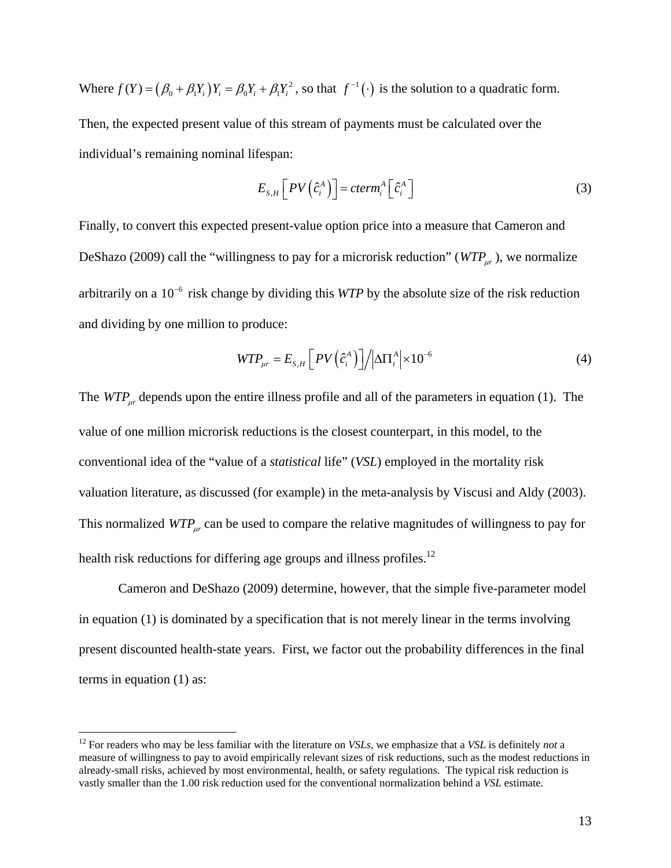Where  $f(Y) = (\beta_0 + \beta_1 Y_i) Y_i = \beta_0 Y_i + \beta_1 Y_i^2$ , so that  $f^{-1}(\cdot)$  is the solution to a quadratic form. Then, the expected present value of this stream of payments must be calculated over the individual's remaining nominal lifespan:

$$
E_{S,H}\left[PV\left(\hat{c}_i^A\right)\right] = cterm_i^A \left[\hat{c}_i^A\right]
$$
\n(3)

Finally, to convert this expected present-value option price into a measure that Cameron and DeShazo (2009) call the "willingness to pay for a microrisk reduction" ( $WTP_{ur}$ ), we normalize arbitrarily on a  $10^{-6}$  risk change by dividing this *WTP* by the absolute size of the risk reduction and dividing by one million to produce:

$$
WTP_{\mu r} = E_{s,H} \left[ PV \left( \hat{c}_i^A \right) \right] / \left| \Delta \Pi_i^A \right| \times 10^{-6}
$$
 (4)

The  $WTP_{\mu\nu}$  depends upon the entire illness profile and all of the parameters in equation (1). The value of one million microrisk reductions is the closest counterpart, in this model, to the conventional idea of the "value of a *statistical* life" (*VSL*) employed in the mortality risk valuation literature, as discussed (for example) in the meta-analysis by Viscusi and Aldy (2003). This normalized  $WTP_{nr}$  can be used to compare the relative magnitudes of willingness to pay for health risk reductions for differing age groups and illness profiles.<sup>12</sup>

 Cameron and DeShazo (2009) determine, however, that the simple five-parameter model in equation (1) is dominated by a specification that is not merely linear in the terms involving present discounted health-state years. First, we factor out the probability differences in the final terms in equation (1) as:

<u>.</u>

<sup>12</sup> For readers who may be less familiar with the literature on *VSLs*, we emphasize that a *VSL* is definitely *not* a measure of willingness to pay to avoid empirically relevant sizes of risk reductions, such as the modest reductions in already-small risks, achieved by most environmental, health, or safety regulations. The typical risk reduction is vastly smaller than the 1.00 risk reduction used for the conventional normalization behind a *VSL* estimate.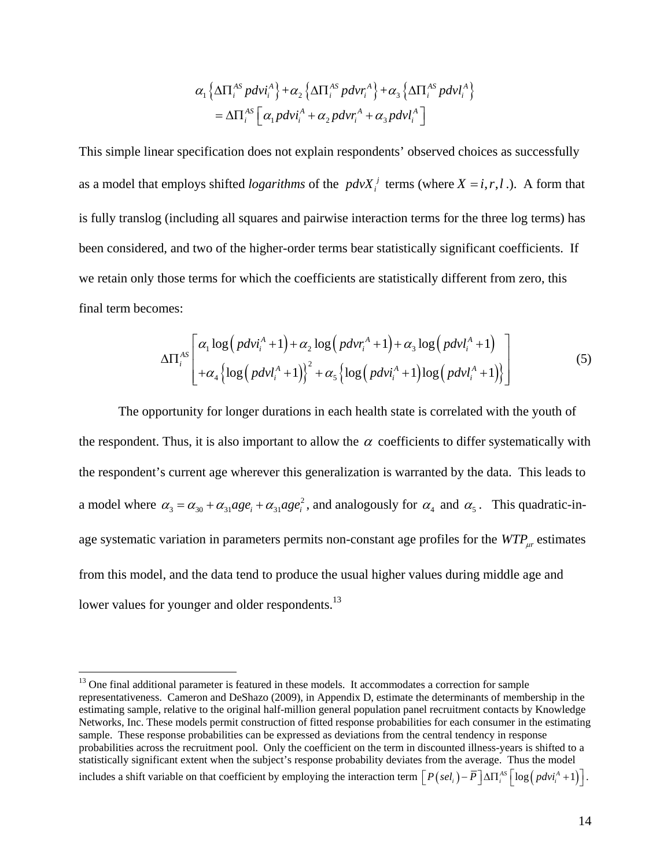$$
\alpha_1 \left\{ \Delta \Pi_i^{AS} \, p dv i_i^A \right\} + \alpha_2 \left\{ \Delta \Pi_i^{AS} \, p dv r_i^A \right\} + \alpha_3 \left\{ \Delta \Pi_i^{AS} \, p dv l_i^A \right\} = \Delta \Pi_i^{AS} \left[ \alpha_1 p dv i_i^A + \alpha_2 p dv r_i^A + \alpha_3 p dv l_i^A \right]
$$

This simple linear specification does not explain respondents' observed choices as successfully as a model that employs shifted *logarithms* of the  $pdvX_i^j$  terms (where  $X = i, r, l$ .). A form that is fully translog (including all squares and pairwise interaction terms for the three log terms) has been considered, and two of the higher-order terms bear statistically significant coefficients. If we retain only those terms for which the coefficients are statistically different from zero, this final term becomes:

$$
\Delta\Pi_i^{AS}\left[\alpha_1 \log \left(\rho dv_i^A + 1\right) + \alpha_2 \log \left(\rho dv_i^A + 1\right) + \alpha_3 \log \left(\rho dv_i^A + 1\right) + \alpha_4 \left\{\log \left(\rho dv_i^A + 1\right)\right\}^2 + \alpha_5 \left\{\log \left(\rho dv_i^A + 1\right)\log \left(\rho dv_i^A + 1\right)\right\}\right]
$$
(5)

The opportunity for longer durations in each health state is correlated with the youth of the respondent. Thus, it is also important to allow the  $\alpha$  coefficients to differ systematically with the respondent's current age wherever this generalization is warranted by the data. This leads to a model where  $\alpha_3 = \alpha_{30} + \alpha_{31} a g e_i + \alpha_{31} a g e_i^2$ , and analogously for  $\alpha_4$  and  $\alpha_5$ . This quadratic-inage systematic variation in parameters permits non-constant age profiles for the  $WTP_{\mu r}$  estimates from this model, and the data tend to produce the usual higher values during middle age and lower values for younger and older respondents.<sup>13</sup>

 $\overline{a}$ 

<sup>&</sup>lt;sup>13</sup> One final additional parameter is featured in these models. It accommodates a correction for sample representativeness. Cameron and DeShazo (2009), in Appendix D, estimate the determinants of membership in the estimating sample, relative to the original half-million general population panel recruitment contacts by Knowledge Networks, Inc. These models permit construction of fitted response probabilities for each consumer in the estimating sample. These response probabilities can be expressed as deviations from the central tendency in response probabilities across the recruitment pool. Only the coefficient on the term in discounted illness-years is shifted to a statistically significant extent when the subject's response probability deviates from the average. Thus the model includes a shift variable on that coefficient by employing the interaction term  $\left[ P(sel_i) - \overline{P} \right] \Delta \Pi_i^{AS} \left[ \log (p dv_i^A + 1) \right]$ .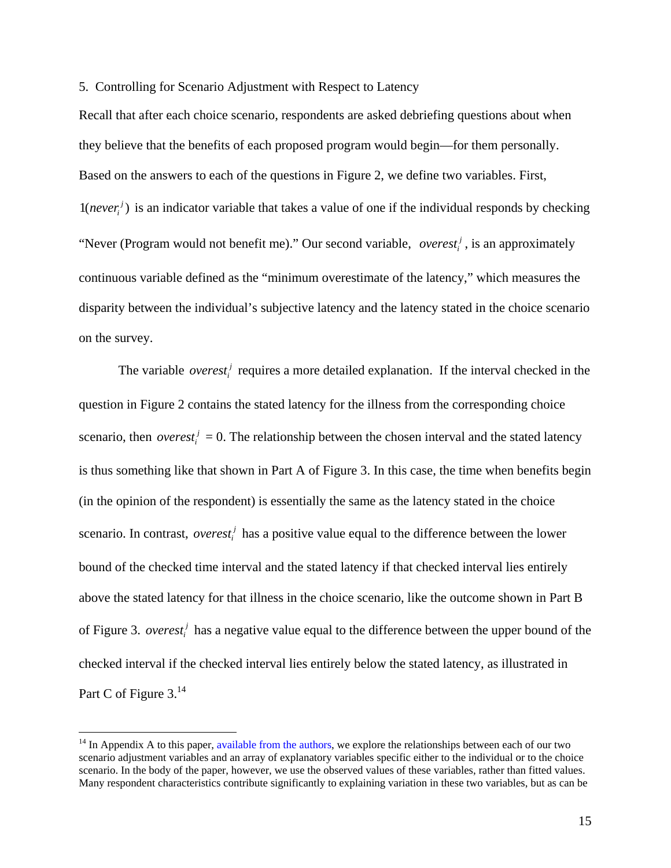5. Controlling for Scenario Adjustment with Respect to Latency

Recall that after each choice scenario, respondents are asked debriefing questions about when they believe that the benefits of each proposed program would begin—for them personally. Based on the answers to each of the questions in Figure 2, we define two variables. First,  $1(never<sub>i</sub><sup>j</sup>)$  is an indicator variable that takes a value of one if the individual responds by checking "Never (Program would not benefit me)." Our second variable, *overest<sub>i</sub>*, is an approximately continuous variable defined as the "minimum overestimate of the latency," which measures the disparity between the individual's subjective latency and the latency stated in the choice scenario on the survey.

The variable *overest*<sup> $j$ </sup> requires a more detailed explanation. If the interval checked in the question in Figure 2 contains the stated latency for the illness from the corresponding choice scenario, then *overest*<sup> $j$ </sup> = 0. The relationship between the chosen interval and the stated latency is thus something like that shown in Part A of Figure 3. In this case, the time when benefits begin (in the opinion of the respondent) is essentially the same as the latency stated in the choice scenario. In contrast, *overest<sub>i</sub>* has a positive value equal to the difference between the lower bound of the checked time interval and the stated latency if that checked interval lies entirely above the stated latency for that illness in the choice scenario, like the outcome shown in Part B of Figure 3. *overest<sub>i</sub>* has a negative value equal to the difference between the upper bound of the checked interval if the checked interval lies entirely below the stated latency, as illustrated in Part C of Figure 3.<sup>14</sup>

<u>.</u>

 $14$  In Appendix A to this paper, available from the authors, we explore the relationships between each of our two scenario adjustment variables and an array of explanatory variables specific either to the individual or to the choice scenario. In the body of the paper, however, we use the observed values of these variables, rather than fitted values. Many respondent characteristics contribute significantly to explaining variation in these two variables, but as can be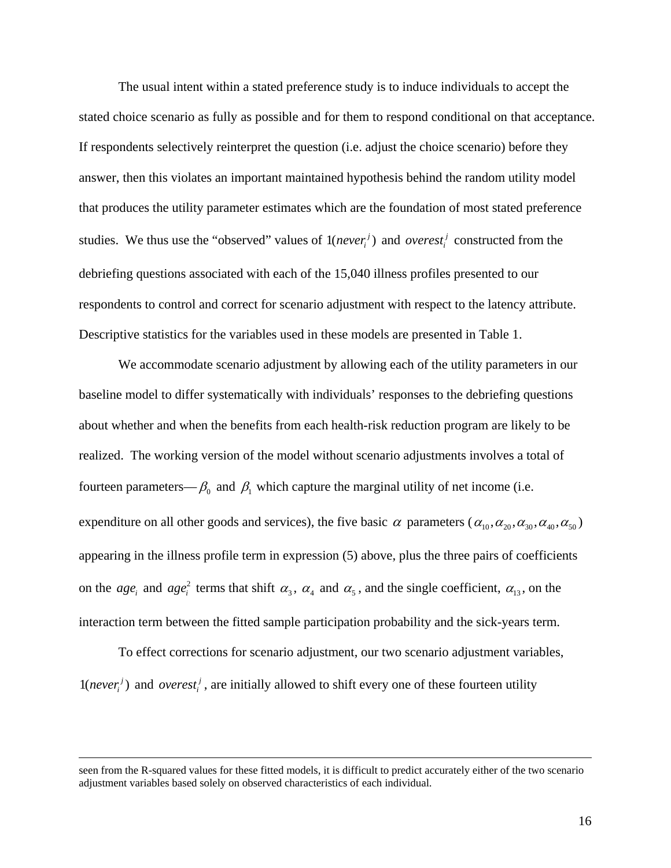The usual intent within a stated preference study is to induce individuals to accept the stated choice scenario as fully as possible and for them to respond conditional on that acceptance. If respondents selectively reinterpret the question (i.e. adjust the choice scenario) before they answer, then this violates an important maintained hypothesis behind the random utility model that produces the utility parameter estimates which are the foundation of most stated preference studies. We thus use the "observed" values of  $1(newer_i^j)$  and *overest<sub>i</sub>* constructed from the debriefing questions associated with each of the 15,040 illness profiles presented to our respondents to control and correct for scenario adjustment with respect to the latency attribute. Descriptive statistics for the variables used in these models are presented in Table 1.

We accommodate scenario adjustment by allowing each of the utility parameters in our baseline model to differ systematically with individuals' responses to the debriefing questions about whether and when the benefits from each health-risk reduction program are likely to be realized. The working version of the model without scenario adjustments involves a total of fourteen parameters— $\beta_0$  and  $\beta_1$  which capture the marginal utility of net income (i.e. expenditure on all other goods and services), the five basic  $\alpha$  parameters ( $\alpha_{10}, \alpha_{20}, \alpha_{30}, \alpha_{40}, \alpha_{50}$ ) appearing in the illness profile term in expression (5) above, plus the three pairs of coefficients on the *age<sub>i</sub>* and *age*<sup>2</sup> terms that shift  $\alpha_3$ ,  $\alpha_4$  and  $\alpha_5$ , and the single coefficient,  $\alpha_{13}$ , on the interaction term between the fitted sample participation probability and the sick-years term.

To effect corrections for scenario adjustment, our two scenario adjustment variables,  $1(newer_i^j)$  and *overest<sub>i</sub>*, are initially allowed to shift every one of these fourteen utility

seen from the R-squared values for these fitted models, it is difficult to predict accurately either of the two scenario adjustment variables based solely on observed characteristics of each individual.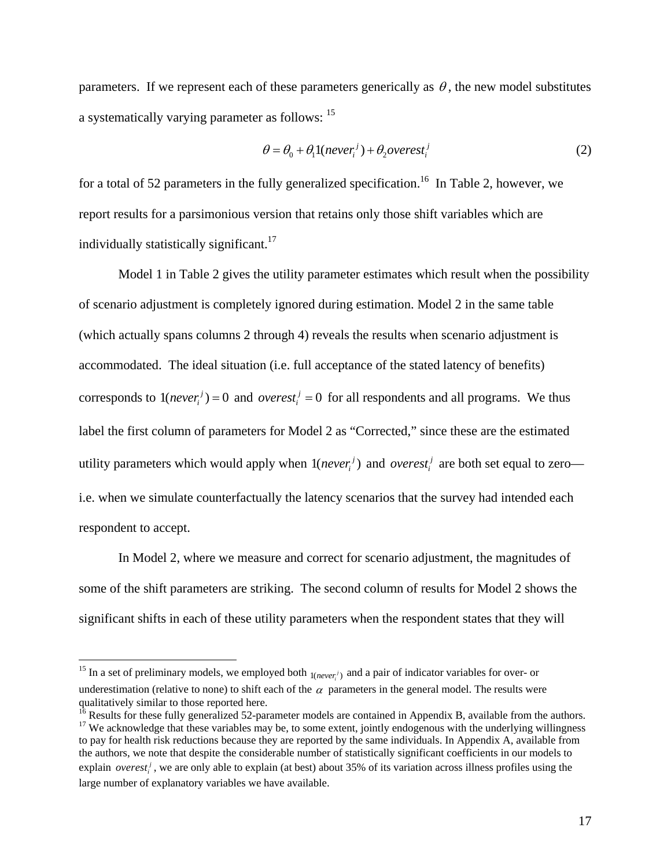parameters. If we represent each of these parameters generically as  $\theta$ , the new model substitutes a systematically varying parameter as follows: 15

$$
\theta = \theta_0 + \theta_1 1(never_i^j) + \theta_2 overest_i^j \tag{2}
$$

for a total of 52 parameters in the fully generalized specification.<sup>16</sup> In Table 2, however, we report results for a parsimonious version that retains only those shift variables which are individually statistically significant.<sup>17</sup>

 Model 1 in Table 2 gives the utility parameter estimates which result when the possibility of scenario adjustment is completely ignored during estimation. Model 2 in the same table (which actually spans columns 2 through 4) reveals the results when scenario adjustment is accommodated. The ideal situation (i.e. full acceptance of the stated latency of benefits) corresponds to  $1(never_i^j) = 0$  and *overest<sub>i</sub>*  $i = 0$  for all respondents and all programs. We thus label the first column of parameters for Model 2 as "Corrected," since these are the estimated utility parameters which would apply when  $1(newer_i^j)$  and *overest<sub>i</sub>* are both set equal to zero i.e. when we simulate counterfactually the latency scenarios that the survey had intended each respondent to accept.

 In Model 2, where we measure and correct for scenario adjustment, the magnitudes of some of the shift parameters are striking. The second column of results for Model 2 shows the significant shifts in each of these utility parameters when the respondent states that they will

<u>.</u>

<sup>&</sup>lt;sup>15</sup> In a set of preliminary models, we employed both  $_{1(newer'_i)}$  and a pair of indicator variables for over- or underestimation (relative to none) to shift each of the  $\alpha$  parameters in the general model. The results were qualitatively similar to those reported here.

<sup>&</sup>lt;sup>16</sup> Results for these fully generalized 52-parameter models are contained in Appendix B, available from the authors.<br><sup>17</sup> We acknowledge that these variables may be, to some extent, jointly endogenous with the underlying to pay for health risk reductions because they are reported by the same individuals. In Appendix A, available from the authors, we note that despite the considerable number of statistically significant coefficients in our models to explain *overest<sub>i</sub>*, we are only able to explain (at best) about 35% of its variation across illness profiles using the large number of explanatory variables we have available.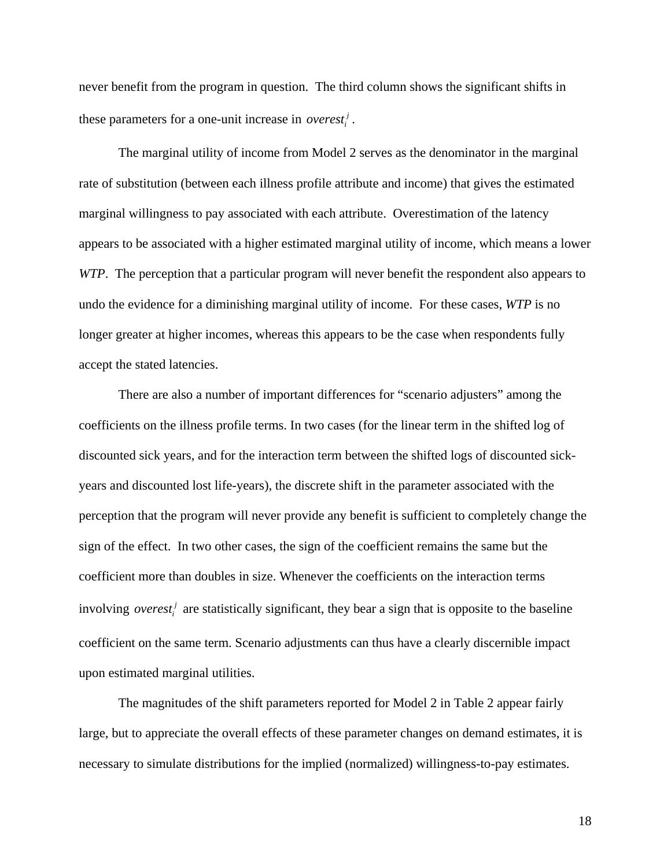never benefit from the program in question. The third column shows the significant shifts in these parameters for a one-unit increase in *overest*<sup>*i*</sup>.

The marginal utility of income from Model 2 serves as the denominator in the marginal rate of substitution (between each illness profile attribute and income) that gives the estimated marginal willingness to pay associated with each attribute. Overestimation of the latency appears to be associated with a higher estimated marginal utility of income, which means a lower *WTP*. The perception that a particular program will never benefit the respondent also appears to undo the evidence for a diminishing marginal utility of income. For these cases, *WTP* is no longer greater at higher incomes, whereas this appears to be the case when respondents fully accept the stated latencies.

There are also a number of important differences for "scenario adjusters" among the coefficients on the illness profile terms. In two cases (for the linear term in the shifted log of discounted sick years, and for the interaction term between the shifted logs of discounted sickyears and discounted lost life-years), the discrete shift in the parameter associated with the perception that the program will never provide any benefit is sufficient to completely change the sign of the effect. In two other cases, the sign of the coefficient remains the same but the coefficient more than doubles in size. Whenever the coefficients on the interaction terms involving *overest<sub>i</sub>* are statistically significant, they bear a sign that is opposite to the baseline coefficient on the same term. Scenario adjustments can thus have a clearly discernible impact upon estimated marginal utilities.

The magnitudes of the shift parameters reported for Model 2 in Table 2 appear fairly large, but to appreciate the overall effects of these parameter changes on demand estimates, it is necessary to simulate distributions for the implied (normalized) willingness-to-pay estimates.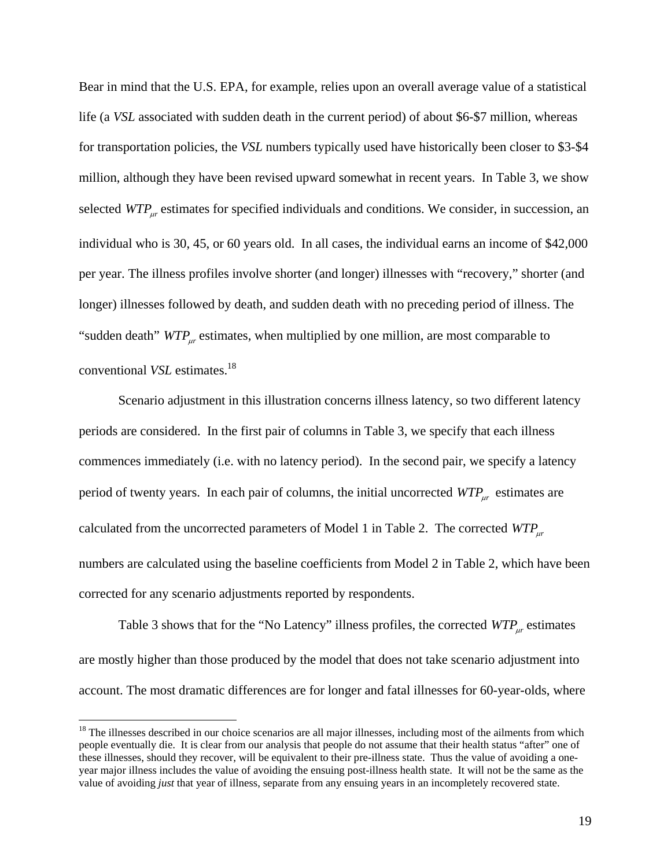Bear in mind that the U.S. EPA, for example, relies upon an overall average value of a statistical life (a *VSL* associated with sudden death in the current period) of about \$6-\$7 million, whereas for transportation policies, the *VSL* numbers typically used have historically been closer to \$3-\$4 million, although they have been revised upward somewhat in recent years. In Table 3, we show selected  $WTP_{ur}$  estimates for specified individuals and conditions. We consider, in succession, an individual who is 30, 45, or 60 years old. In all cases, the individual earns an income of \$42,000 per year. The illness profiles involve shorter (and longer) illnesses with "recovery," shorter (and longer) illnesses followed by death, and sudden death with no preceding period of illness. The "sudden death" *WTP*<sub>*rr*</sub> estimates, when multiplied by one million, are most comparable to conventional *VSL* estimates.18

Scenario adjustment in this illustration concerns illness latency, so two different latency periods are considered. In the first pair of columns in Table 3, we specify that each illness commences immediately (i.e. with no latency period). In the second pair, we specify a latency period of twenty years. In each pair of columns, the initial uncorrected *WTP<sup>r</sup>* estimates are calculated from the uncorrected parameters of Model 1 in Table 2. The corrected *WTP<sup>r</sup>* numbers are calculated using the baseline coefficients from Model 2 in Table 2, which have been corrected for any scenario adjustments reported by respondents.

Table 3 shows that for the "No Latency" illness profiles, the corrected  $WTP_{ur}$  estimates are mostly higher than those produced by the model that does not take scenario adjustment into account. The most dramatic differences are for longer and fatal illnesses for 60-year-olds, where

 $\overline{a}$ 

<sup>&</sup>lt;sup>18</sup> The illnesses described in our choice scenarios are all major illnesses, including most of the ailments from which people eventually die. It is clear from our analysis that people do not assume that their health status "after" one of these illnesses, should they recover, will be equivalent to their pre-illness state. Thus the value of avoiding a oneyear major illness includes the value of avoiding the ensuing post-illness health state. It will not be the same as the value of avoiding *just* that year of illness, separate from any ensuing years in an incompletely recovered state.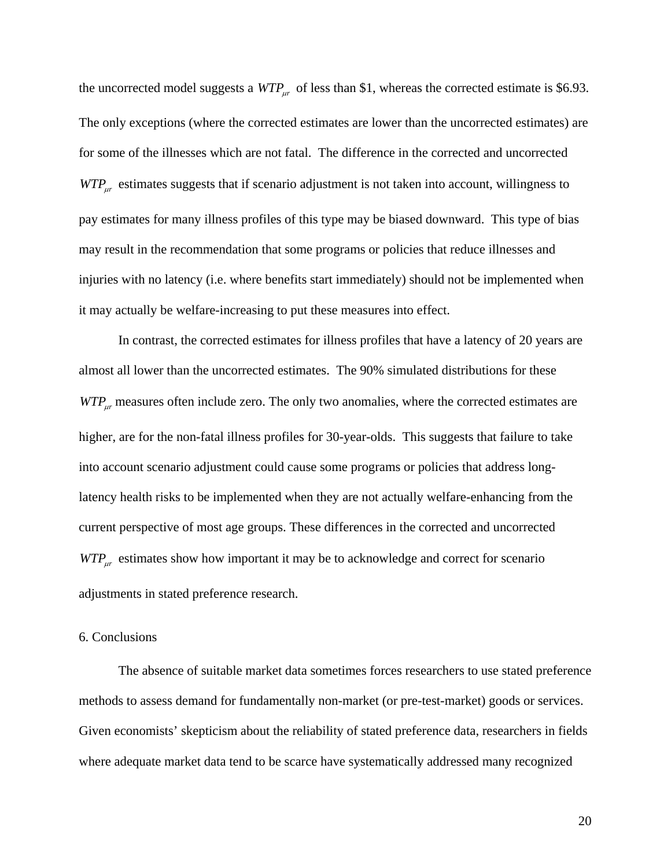the uncorrected model suggests a  $WTP_{\mu r}$  of less than \$1, whereas the corrected estimate is \$6.93. The only exceptions (where the corrected estimates are lower than the uncorrected estimates) are for some of the illnesses which are not fatal. The difference in the corrected and uncorrected *WTP<sub>ur</sub>* estimates suggests that if scenario adjustment is not taken into account, willingness to pay estimates for many illness profiles of this type may be biased downward. This type of bias may result in the recommendation that some programs or policies that reduce illnesses and injuries with no latency (i.e. where benefits start immediately) should not be implemented when it may actually be welfare-increasing to put these measures into effect.

 In contrast, the corrected estimates for illness profiles that have a latency of 20 years are almost all lower than the uncorrected estimates. The 90% simulated distributions for these *WTP*<sub>*ur*</sub> measures often include zero. The only two anomalies, where the corrected estimates are higher, are for the non-fatal illness profiles for 30-year-olds. This suggests that failure to take into account scenario adjustment could cause some programs or policies that address longlatency health risks to be implemented when they are not actually welfare-enhancing from the current perspective of most age groups. These differences in the corrected and uncorrected *WTP*<sub>*ur*</sub> estimates show how important it may be to acknowledge and correct for scenario adjustments in stated preference research.

#### 6. Conclusions

The absence of suitable market data sometimes forces researchers to use stated preference methods to assess demand for fundamentally non-market (or pre-test-market) goods or services. Given economists' skepticism about the reliability of stated preference data, researchers in fields where adequate market data tend to be scarce have systematically addressed many recognized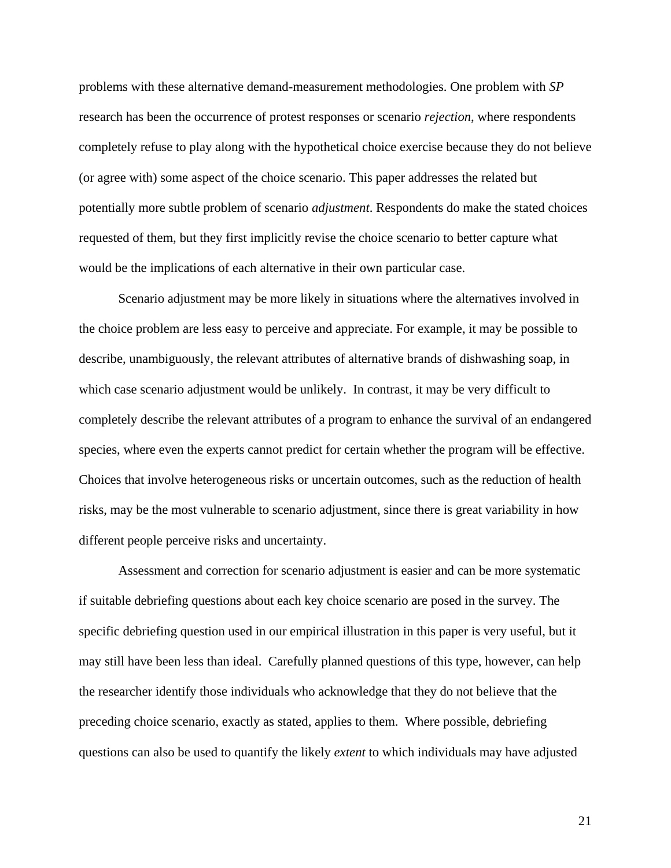problems with these alternative demand-measurement methodologies. One problem with *SP* research has been the occurrence of protest responses or scenario *rejection*, where respondents completely refuse to play along with the hypothetical choice exercise because they do not believe (or agree with) some aspect of the choice scenario. This paper addresses the related but potentially more subtle problem of scenario *adjustment*. Respondents do make the stated choices requested of them, but they first implicitly revise the choice scenario to better capture what would be the implications of each alternative in their own particular case.

Scenario adjustment may be more likely in situations where the alternatives involved in the choice problem are less easy to perceive and appreciate. For example, it may be possible to describe, unambiguously, the relevant attributes of alternative brands of dishwashing soap, in which case scenario adjustment would be unlikely. In contrast, it may be very difficult to completely describe the relevant attributes of a program to enhance the survival of an endangered species, where even the experts cannot predict for certain whether the program will be effective. Choices that involve heterogeneous risks or uncertain outcomes, such as the reduction of health risks, may be the most vulnerable to scenario adjustment, since there is great variability in how different people perceive risks and uncertainty.

Assessment and correction for scenario adjustment is easier and can be more systematic if suitable debriefing questions about each key choice scenario are posed in the survey. The specific debriefing question used in our empirical illustration in this paper is very useful, but it may still have been less than ideal. Carefully planned questions of this type, however, can help the researcher identify those individuals who acknowledge that they do not believe that the preceding choice scenario, exactly as stated, applies to them. Where possible, debriefing questions can also be used to quantify the likely *extent* to which individuals may have adjusted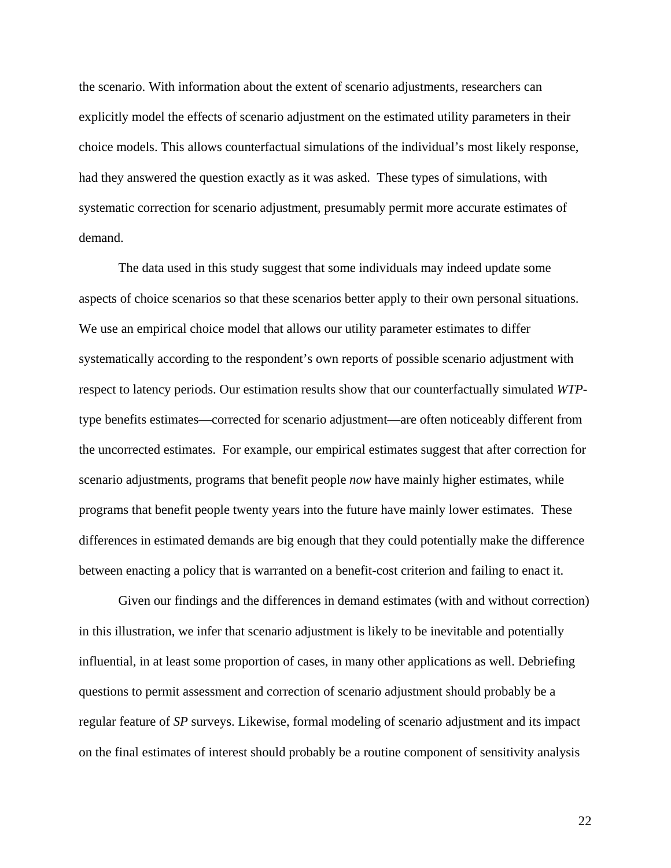the scenario. With information about the extent of scenario adjustments, researchers can explicitly model the effects of scenario adjustment on the estimated utility parameters in their choice models. This allows counterfactual simulations of the individual's most likely response, had they answered the question exactly as it was asked. These types of simulations, with systematic correction for scenario adjustment, presumably permit more accurate estimates of demand.

The data used in this study suggest that some individuals may indeed update some aspects of choice scenarios so that these scenarios better apply to their own personal situations. We use an empirical choice model that allows our utility parameter estimates to differ systematically according to the respondent's own reports of possible scenario adjustment with respect to latency periods. Our estimation results show that our counterfactually simulated *WTP*type benefits estimates—corrected for scenario adjustment—are often noticeably different from the uncorrected estimates. For example, our empirical estimates suggest that after correction for scenario adjustments, programs that benefit people *now* have mainly higher estimates, while programs that benefit people twenty years into the future have mainly lower estimates. These differences in estimated demands are big enough that they could potentially make the difference between enacting a policy that is warranted on a benefit-cost criterion and failing to enact it.

Given our findings and the differences in demand estimates (with and without correction) in this illustration, we infer that scenario adjustment is likely to be inevitable and potentially influential, in at least some proportion of cases, in many other applications as well. Debriefing questions to permit assessment and correction of scenario adjustment should probably be a regular feature of *SP* surveys. Likewise, formal modeling of scenario adjustment and its impact on the final estimates of interest should probably be a routine component of sensitivity analysis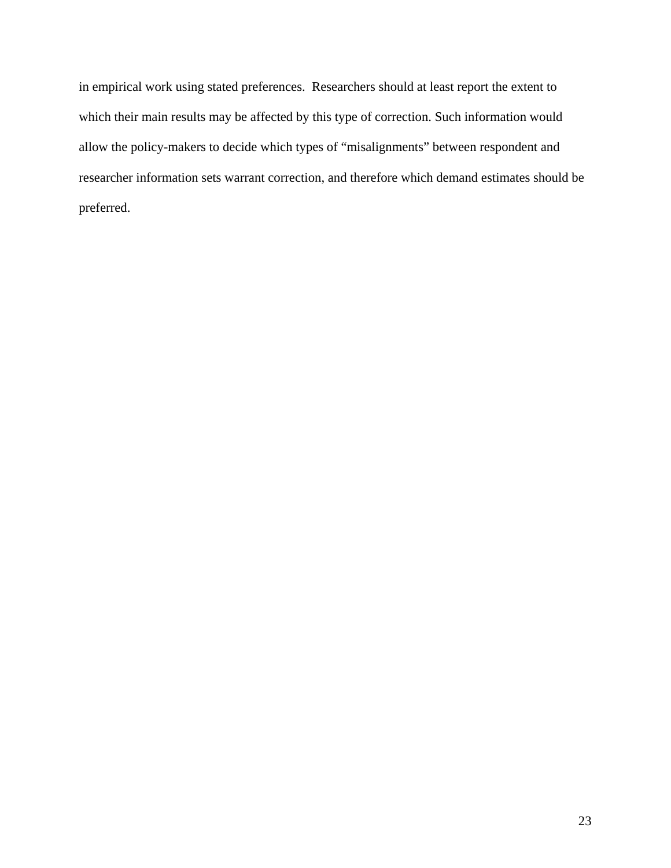in empirical work using stated preferences. Researchers should at least report the extent to which their main results may be affected by this type of correction. Such information would allow the policy-makers to decide which types of "misalignments" between respondent and researcher information sets warrant correction, and therefore which demand estimates should be preferred.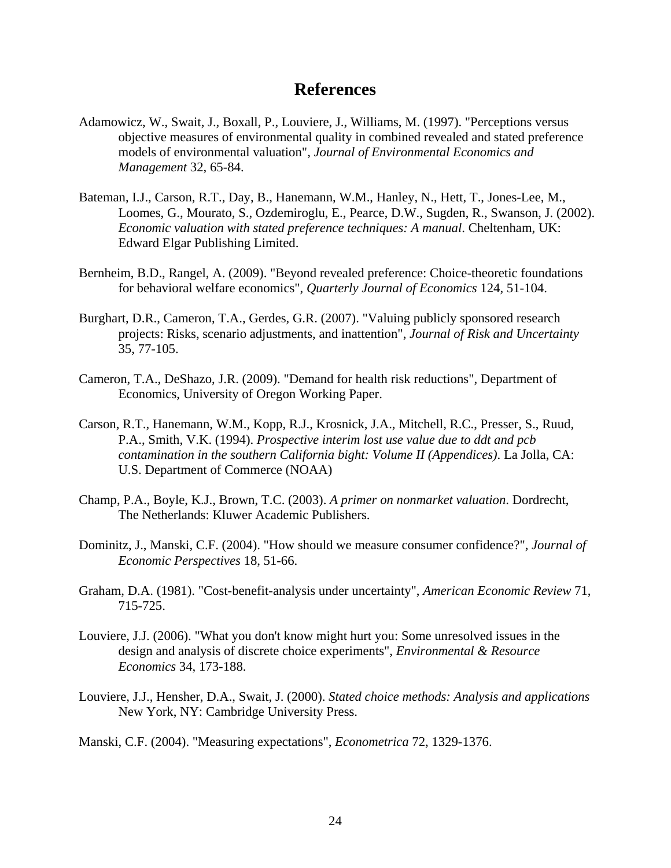# **References**

- Adamowicz, W., Swait, J., Boxall, P., Louviere, J., Williams, M. (1997). "Perceptions versus objective measures of environmental quality in combined revealed and stated preference models of environmental valuation", *Journal of Environmental Economics and Management* 32, 65-84.
- Bateman, I.J., Carson, R.T., Day, B., Hanemann, W.M., Hanley, N., Hett, T., Jones-Lee, M., Loomes, G., Mourato, S., Ozdemiroglu, E., Pearce, D.W., Sugden, R., Swanson, J. (2002). *Economic valuation with stated preference techniques: A manual*. Cheltenham, UK: Edward Elgar Publishing Limited.
- Bernheim, B.D., Rangel, A. (2009). "Beyond revealed preference: Choice-theoretic foundations for behavioral welfare economics", *Quarterly Journal of Economics* 124, 51-104.
- Burghart, D.R., Cameron, T.A., Gerdes, G.R. (2007). "Valuing publicly sponsored research projects: Risks, scenario adjustments, and inattention", *Journal of Risk and Uncertainty* 35, 77-105.
- Cameron, T.A., DeShazo, J.R. (2009). "Demand for health risk reductions", Department of Economics, University of Oregon Working Paper.
- Carson, R.T., Hanemann, W.M., Kopp, R.J., Krosnick, J.A., Mitchell, R.C., Presser, S., Ruud, P.A., Smith, V.K. (1994). *Prospective interim lost use value due to ddt and pcb contamination in the southern California bight: Volume II (Appendices)*. La Jolla, CA: U.S. Department of Commerce (NOAA)
- Champ, P.A., Boyle, K.J., Brown, T.C. (2003). *A primer on nonmarket valuation*. Dordrecht, The Netherlands: Kluwer Academic Publishers.
- Dominitz, J., Manski, C.F. (2004). "How should we measure consumer confidence?", *Journal of Economic Perspectives* 18, 51-66.
- Graham, D.A. (1981). "Cost-benefit-analysis under uncertainty", *American Economic Review* 71, 715-725.
- Louviere, J.J. (2006). "What you don't know might hurt you: Some unresolved issues in the design and analysis of discrete choice experiments", *Environmental & Resource Economics* 34, 173-188.
- Louviere, J.J., Hensher, D.A., Swait, J. (2000). *Stated choice methods: Analysis and applications*  New York, NY: Cambridge University Press.

Manski, C.F. (2004). "Measuring expectations", *Econometrica* 72, 1329-1376.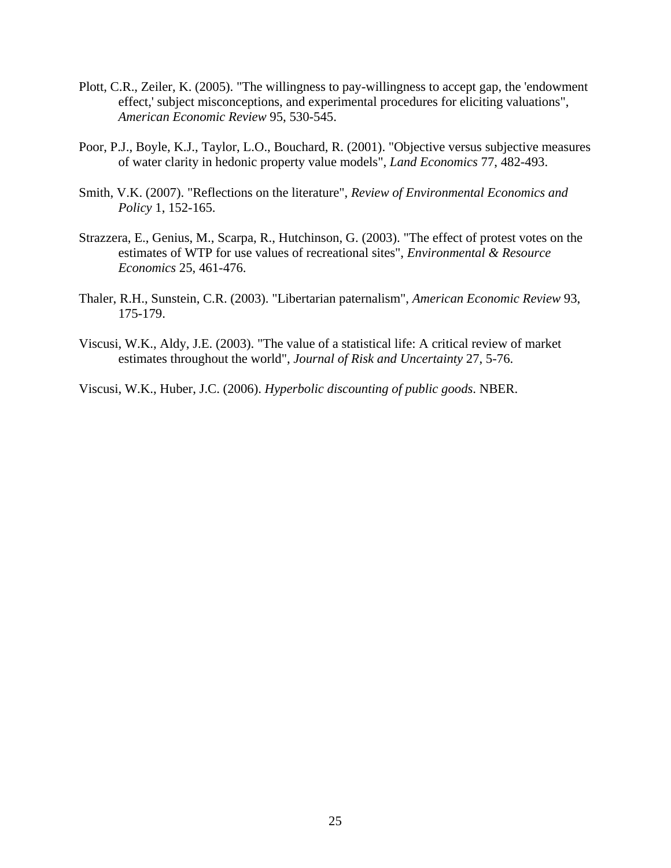- Plott, C.R., Zeiler, K. (2005). "The willingness to pay-willingness to accept gap, the 'endowment effect,' subject misconceptions, and experimental procedures for eliciting valuations", *American Economic Review* 95, 530-545.
- Poor, P.J., Boyle, K.J., Taylor, L.O., Bouchard, R. (2001). "Objective versus subjective measures of water clarity in hedonic property value models", *Land Economics* 77, 482-493.
- Smith, V.K. (2007). "Reflections on the literature", *Review of Environmental Economics and Policy* 1, 152-165.
- Strazzera, E., Genius, M., Scarpa, R., Hutchinson, G. (2003). "The effect of protest votes on the estimates of WTP for use values of recreational sites", *Environmental & Resource Economics* 25, 461-476.
- Thaler, R.H., Sunstein, C.R. (2003). "Libertarian paternalism", *American Economic Review* 93, 175-179.
- Viscusi, W.K., Aldy, J.E. (2003). "The value of a statistical life: A critical review of market estimates throughout the world", *Journal of Risk and Uncertainty* 27, 5-76.
- Viscusi, W.K., Huber, J.C. (2006). *Hyperbolic discounting of public goods*. NBER.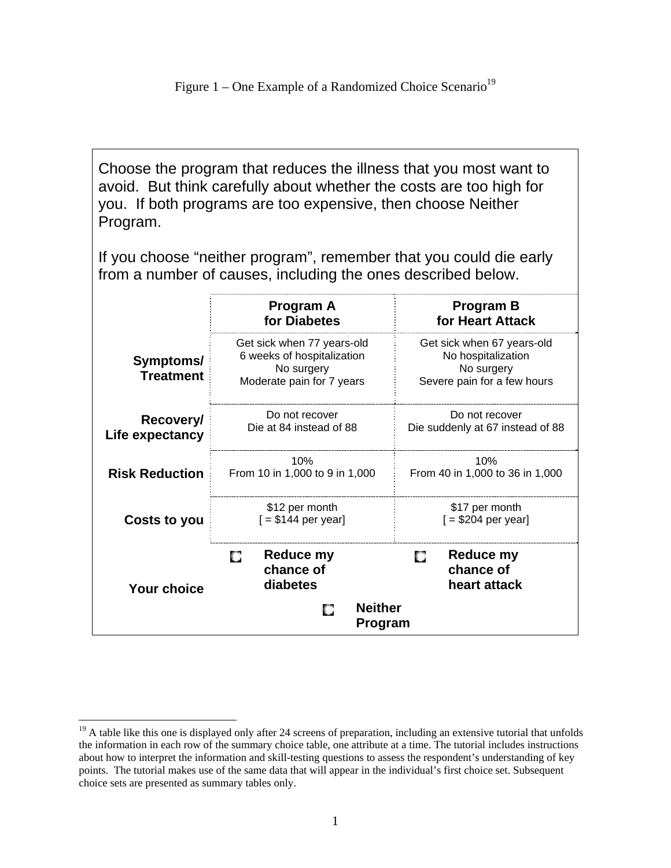Choose the program that reduces the illness that you most want to avoid. But think carefully about whether the costs are too high for you. If both programs are too expensive, then choose Neither Program.

If you choose "neither program", remember that you could die early from a number of causes, including the ones described below.

|                               | Program A<br>for Diabetes                                                                           | Program B<br>for Heart Attack                                                                 |
|-------------------------------|-----------------------------------------------------------------------------------------------------|-----------------------------------------------------------------------------------------------|
| Symptoms/<br><b>Treatment</b> | Get sick when 77 years-old<br>6 weeks of hospitalization<br>No surgery<br>Moderate pain for 7 years | Get sick when 67 years-old<br>No hospitalization<br>No surgery<br>Severe pain for a few hours |
| Recovery/<br>Life expectancy  | Do not recover<br>Die at 84 instead of 88                                                           | Do not recover<br>Die suddenly at 67 instead of 88                                            |
| <b>Risk Reduction</b>         | 10%<br>From 10 in 1,000 to 9 in 1,000                                                               | 10%<br>From 40 in 1,000 to 36 in 1,000                                                        |
| Costs to you                  | \$12 per month<br>$[$ = \$144 per year]                                                             | \$17 per month<br>$[$ = \$204 per year]                                                       |
| <b>Your choice</b>            | Reduce my<br>O.<br>chance of<br>diabetes<br><b>Neither</b><br>О<br>Program                          | Reduce my<br>chance of<br>heart attack                                                        |

 $\overline{a}$ 

<sup>&</sup>lt;sup>19</sup> A table like this one is displayed only after 24 screens of preparation, including an extensive tutorial that unfolds the information in each row of the summary choice table, one attribute at a time. The tutorial includes instructions about how to interpret the information and skill-testing questions to assess the respondent's understanding of key points. The tutorial makes use of the same data that will appear in the individual's first choice set. Subsequent choice sets are presented as summary tables only.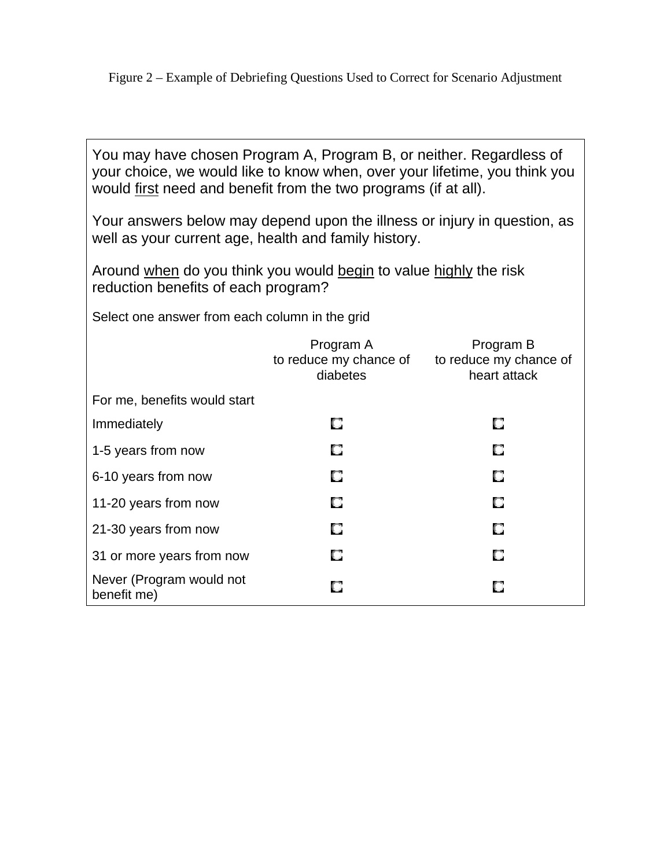Figure 2 – Example of Debriefing Questions Used to Correct for Scenario Adjustment

You may have chosen Program A, Program B, or neither. Regardless of your choice, we would like to know when, over your lifetime, you think you would first need and benefit from the two programs (if at all). Your answers below may depend upon the illness or injury in question, as well as your current age, health and family history. Around when do you think you would begin to value highly the risk reduction benefits of each program? Select one answer from each column in the grid Program A Program B to reduce my chance of to reduce my chance of diabetes heart attack For me, benefits would start О O. Immediately O. 0 1-5 years from now O. 0. 6-10 years from now O. 0 11-20 years from now O. 0. 21-30 years from now Ω.  $\Box$ 31 or more years from now Never (Program would not О 0. benefit me)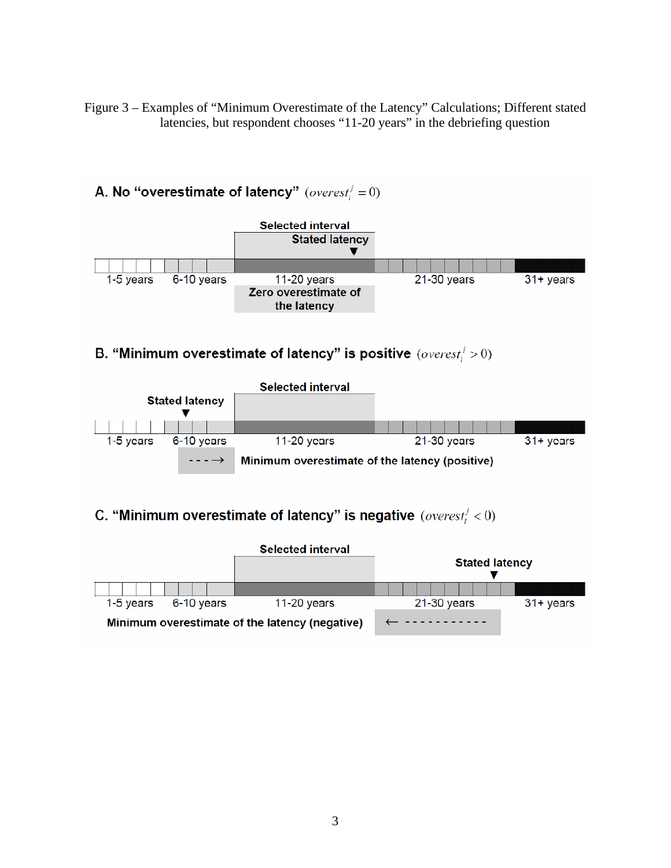Figure 3 – Examples of "Minimum Overestimate of the Latency" Calculations; Different stated latencies, but respondent chooses "11-20 years" in the debriefing question

# A. No "overestimate of latency" (overest $i = 0$ )



# B. "Minimum overestimate of latency" is positive  $(oversi<sub>i</sub> > 0)$



# C. "Minimum overestimate of latency" is negative  $(oversi_i < 0)$

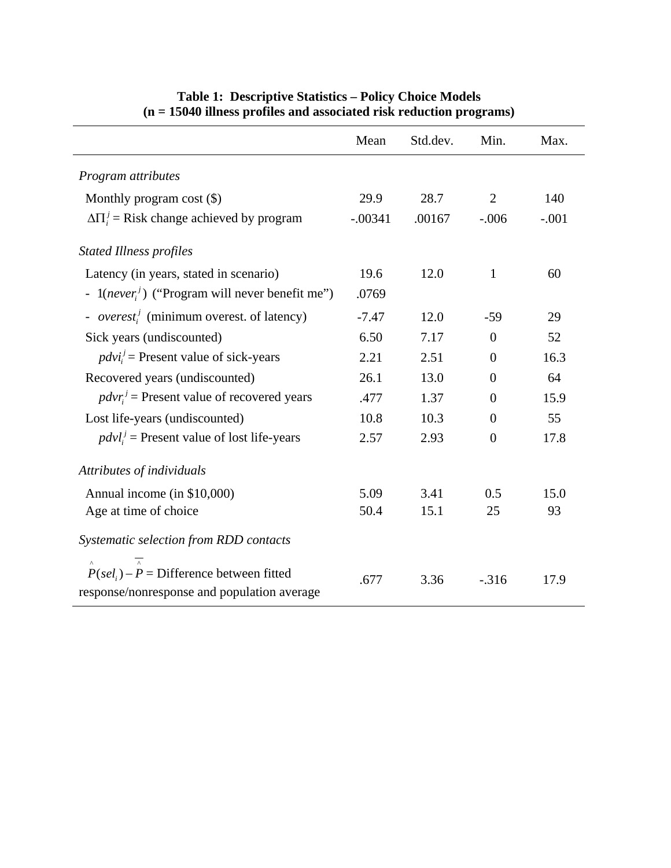|                                                                                            | Mean      | Std.dev. | Min.           | Max.    |
|--------------------------------------------------------------------------------------------|-----------|----------|----------------|---------|
| Program attributes                                                                         |           |          |                |         |
| Monthly program cost $(\$)$                                                                | 29.9      | 28.7     | $\overline{2}$ | 140     |
| $\Delta \Pi_i^j$ = Risk change achieved by program                                         | $-.00341$ | .00167   | $-.006$        | $-.001$ |
| <b>Stated Illness profiles</b>                                                             |           |          |                |         |
| Latency (in years, stated in scenario)                                                     | 19.6      | 12.0     | 1              | 60      |
| - $1(neveri)$ ("Program will never benefit me")                                            | .0769     |          |                |         |
| - <i>overest</i> <sup><i>i</i></sup> (minimum overest. of latency)                         | $-7.47$   | 12.0     | $-59$          | 29      |
| Sick years (undiscounted)                                                                  | 6.50      | 7.17     | $\overline{0}$ | 52      |
| $pdv_i^j$ = Present value of sick-years                                                    | 2.21      | 2.51     | $\overline{0}$ | 16.3    |
| Recovered years (undiscounted)                                                             | 26.1      | 13.0     | $\overline{0}$ | 64      |
| $pdvr_i^j$ = Present value of recovered years                                              | .477      | 1.37     | $\Omega$       | 15.9    |
| Lost life-years (undiscounted)                                                             | 10.8      | 10.3     | $\overline{0}$ | 55      |
| $pdvl_i^j$ = Present value of lost life-years                                              | 2.57      | 2.93     | $\overline{0}$ | 17.8    |
| Attributes of individuals                                                                  |           |          |                |         |
| Annual income (in \$10,000)                                                                | 5.09      | 3.41     | 0.5            | 15.0    |
| Age at time of choice                                                                      | 50.4      | 15.1     | 25             | 93      |
| Systematic selection from RDD contacts                                                     |           |          |                |         |
| $P(self_i) - P =$ Difference between fitted<br>response/nonresponse and population average | .677      | 3.36     | $-.316$        | 17.9    |

## **Table 1: Descriptive Statistics – Policy Choice Models (n = 15040 illness profiles and associated risk reduction programs)**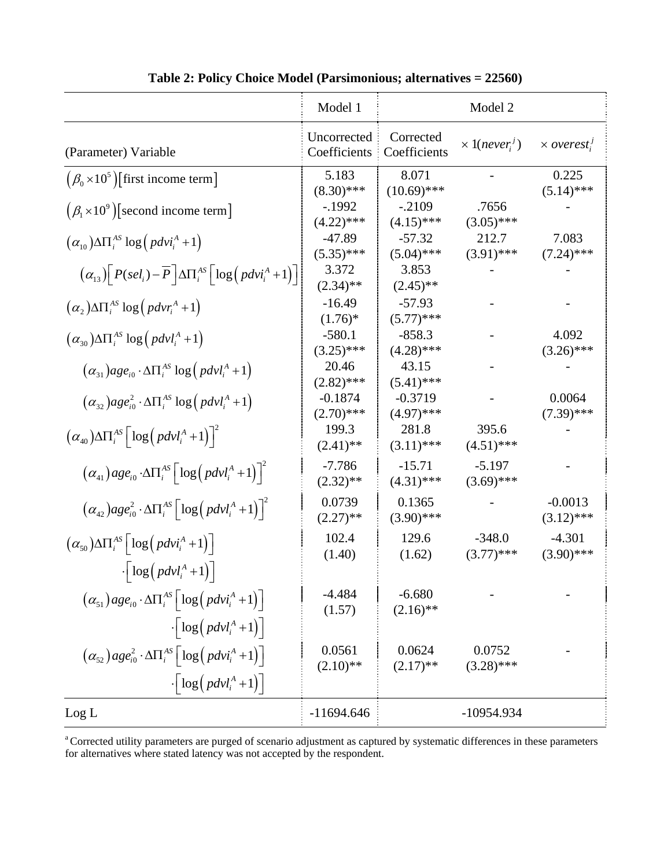|                                                                                                                                                     | Model 1                                  |                                      | Model 2                          |                               |
|-----------------------------------------------------------------------------------------------------------------------------------------------------|------------------------------------------|--------------------------------------|----------------------------------|-------------------------------|
| (Parameter) Variable                                                                                                                                | Uncorrected<br>Coefficients              | Corrected<br>Coefficients            | $\times$ 1(never, <sup>1</sup> ) | $\times$ overest <sup>1</sup> |
| $(\beta_0 \times 10^5)$ first income term                                                                                                           | 5.183                                    | 8.071<br>$(10.69)$ ***               |                                  | 0.225                         |
| $(\beta_1 \times 10^9)$ second income term                                                                                                          | $(8.30)$ ***<br>$-.1992$<br>$(4.22)$ *** | $-2109$<br>$(4.15)$ ***              | .7656<br>$(3.05)$ ***            | $(5.14)$ ***                  |
| $(\alpha_{10})\Delta\Pi_i^{AS}\log\left(\rho dv_i^A+1\right)$                                                                                       | $-47.89$                                 | $-57.32$                             | 212.7                            | 7.083                         |
| $(\alpha_{13})\left[P(self_i)-\overline{P}\right]\Delta\Pi_i^{AS}\left[\log\left(pdv_i^A+1\right)\right]$                                           | $(5.35)$ ***<br>3.372<br>$(2.34)$ **     | $(5.04)$ ***<br>3.853<br>$(2.45)$ ** | $(3.91)$ ***                     | $(7.24)$ ***                  |
| $(\alpha_2)\Delta\Pi_i^{AS}\log\left(pdv_r^A+1\right)$                                                                                              | $-16.49$<br>$(1.76)^*$                   | $-57.93$<br>$(5.77)$ ***             |                                  |                               |
| $(\alpha_{30})\Delta\Pi_i^{AS}\log\left(\rho dv l_i^A+1\right)$                                                                                     | $-580.1$<br>$(3.25)$ ***                 | $-858.3$<br>$(4.28)$ ***             |                                  | 4.092<br>$(3.26)$ ***         |
| $(\alpha_{31})$ age <sub>i0</sub> · $\Delta \Pi_i^{AS}$ log $\left( pdvl_i^A + 1 \right)$                                                           | 20.46<br>$(2.82)$ ***                    | 43.15<br>$(5.41)$ ***                |                                  |                               |
| $(\alpha_{32})$ age <sup>2</sup> <sub>i0</sub> · $\Delta\Pi_i^{AS}$ log( $\rho dv l_i^A + 1$ )                                                      | $-0.1874$<br>$(2.70)$ ***                | $-0.3719$<br>$(4.97)$ ***            |                                  | 0.0064<br>$(7.39)$ ***        |
| $(\alpha_{40})\Delta\Pi_i^{AS} \left[ \log \left( \frac{pdvl_i^A+1}{\epsilon}\right) \right]^2$                                                     | 199.3<br>$(2.41)$ **                     | 281.8<br>$(3.11)$ ***                | 395.6<br>$(4.51)$ ***            |                               |
| $(\alpha_{41})$ age <sub>i0</sub> · $\Delta \Pi_i^{AS}$ [log(pdvl <sub>i</sub> <sup>A</sup> +1)] <sup>2</sup>                                       | $-7.786$<br>$(2.32)$ **                  | $-15.71$<br>$(4.31)$ ***             | $-5.197$<br>$(3.69)$ ***         |                               |
| $(\alpha_{42})$ age <sub>i0</sub> · $\Delta\Pi_i^{AS}$ $\left[ \log \left( pdvl_i^A+1 \right) \right]^2$                                            | 0.0739<br>$(2.27)$ **                    | 0.1365<br>$(3.90)$ ***               |                                  | $-0.0013$<br>$(3.12)$ ***     |
| $(\alpha_{50})\Delta\Pi_i^{AS}$   $\log\left(\rho d\vec{v}_i^A + 1\right)$  <br>$\cdot \left  \log \left( \frac{pdv l_i^A + 1}{\right) \right $     | 102.4<br>(1.40)                          | 129.6<br>(1.62)                      | $-348.0$<br>$(3.77)$ ***         | $-4.301$<br>$(3.90)$ ***      |
| $(\alpha_{51})$ age <sub>i0</sub> · $\Delta\Pi_i^{AS}$   log( $pdvi_i^A + 1$ )  <br>$\cdot \left  \log \left( \frac{pdv l_i^A + 1}{\right) \right $ | $-4.484$<br>(1.57)                       | $-6.680$<br>$(2.16)$ **              |                                  |                               |
| $(\alpha_{52})$ age <sup>2</sup> <sub>i0</sub> · $\Delta\Pi_i^{AS}$   log( $\rho dv_i^A + 1$ )  <br>$\cdot  \log (pdvl_i^A + 1) $                   | 0.0561<br>$(2.10)$ **                    | 0.0624<br>$(2.17)$ **                | 0.0752<br>$(3.28)$ ***           |                               |
| Log L                                                                                                                                               | $-11694.646$                             |                                      | -10954.934                       |                               |

**Table 2: Policy Choice Model (Parsimonious; alternatives = 22560)**

<sup>a</sup> Corrected utility parameters are purged of scenario adjustment as captured by systematic differences in these parameters for alternatives where stated latency was not accepted by the respondent.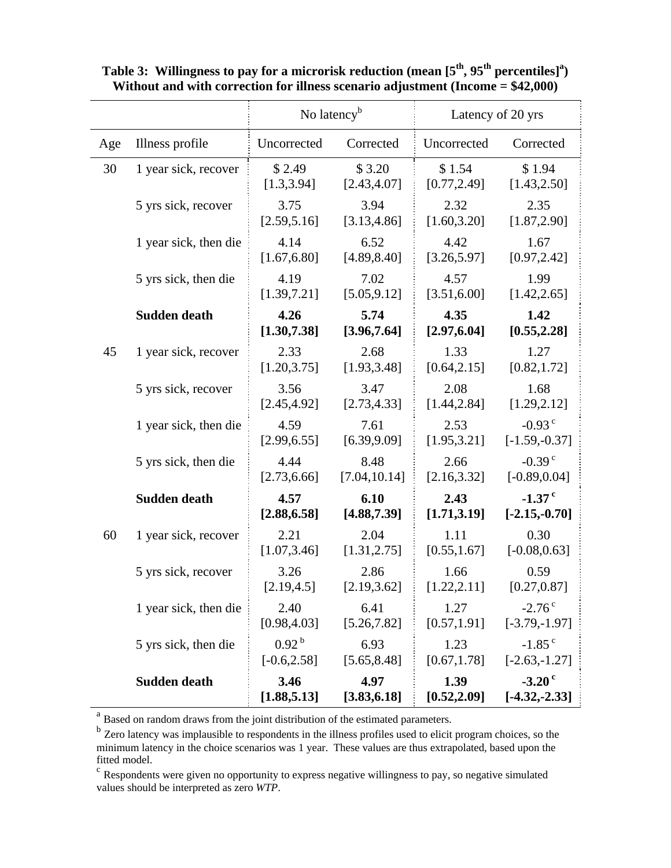|     |                       |                              | No latency <sup>b</sup> | Latency of 20 yrs                                      |                                                         |
|-----|-----------------------|------------------------------|-------------------------|--------------------------------------------------------|---------------------------------------------------------|
| Age | Illness profile       | Uncorrected                  | Corrected               | Uncorrected                                            | Corrected                                               |
| 30  | 1 year sick, recover  | \$2.49<br>[1.3, 3.94]        | \$3.20<br>[2.43, 4.07]  | \$1.54<br>[0.77, 2.49]                                 | \$1.94<br>[1.43, 2.50]                                  |
|     | 5 yrs sick, recover   | 3.75<br>[2.59, 5.16]         | 3.94<br>[3.13, 4.86]    | 2.32<br>[1.60, 3.20]                                   | 2.35<br>[1.87, 2.90]                                    |
|     | 1 year sick, then die | 4.14<br>[1.67, 6.80]         | 6.52<br>[4.89, 8.40]    | 4.42<br>[3.26, 5.97]                                   | 1.67<br>[0.97, 2.42]                                    |
|     | 5 yrs sick, then die  | 4.19<br>[1.39, 7.21]         | 7.02<br>[5.05, 9.12]    | 4.57<br>[3.51, 6.00]                                   | 1.99<br>[1.42, 2.65]                                    |
|     | Sudden death          | 4.26<br>[1.30, 7.38]         | 5.74<br>[3.96, 7.64]    | 4.35<br>[2.97, 6.04]                                   | 1.42<br>[0.55, 2.28]                                    |
| 45  | 1 year sick, recover  | 2.33<br>[1.20, 3.75]         | 2.68<br>[1.93, 3.48]    | 1.33<br>[0.64, 2.15]                                   | 1.27<br>[0.82, 1.72]                                    |
|     | 5 yrs sick, recover   | 3.56<br>[2.45, 4.92]         | 3.47<br>[2.73, 4.33]    | 2.08<br>[1.44, 2.84]                                   | 1.68<br>[1.29, 2.12]                                    |
|     | 1 year sick, then die | 4.59<br>[2.99, 6.55]         | 7.61<br>[6.39, 9.09]    | 2.53<br>[1.95, 3.21]                                   | $-0.93$ <sup>c</sup><br>$[-1.59,-0.37]$                 |
|     | 5 yrs sick, then die  | 4.44<br>[2.73, 6.66]         | 8.48<br>[7.04, 10.14]   | 2.66<br>[2.16, 3.32]                                   | $-0.39$ <sup>c</sup><br>$[-0.89, 0.04]$                 |
|     | Sudden death          | 4.57<br>[2.88, 6.58]         | 6.10<br>[4.88, 7.39]    | 2.43<br>[1.71, 3.19]                                   | $-1.37$ <sup>c</sup><br>$[-2.15,-0.70]$                 |
| 60  | 1 year sick, recover  | 2.21<br>[1.07, 3.46]         | 2.04<br>[1.31, 2.75]    | 1.11<br>[0.55, 1.67]                                   | 0.30<br>$[-0.08, 0.63]$                                 |
|     | 5 yrs sick, recover   | 3.26<br>[2.19, 4.5]          | 2.86<br>[2.19, 3.62]    | 1.66<br>[1.22, 2.11]                                   | 0.59<br>[0.27, 0.87]                                    |
|     | 1 year sick, then die | 2.40<br>[0.98, 4.03]         | 6.41                    | 1.27<br>$[5.26, 7.82]$ $[0.57, 1.91]$ $[-3.79, -1.97]$ | $-2.76^{\circ}$                                         |
|     | 5 yrs sick, then die  | $0.92^{b}$<br>$[-0.6, 2.58]$ | 6.93<br>[5.65, 8.48]    | 1.23                                                   | $-1.85$ <sup>c</sup><br>$[0.67, 1.78]$ $[-2.63, -1.27]$ |
|     | Sudden death          | 3.46<br>[1.88, 5.13]         | 4.97<br>[3.83, 6.18]    | 1.39<br>[0.52, 2.09]                                   | $-3.20$ <sup>c</sup><br>$[-4.32,-2.33]$                 |

Table 3: Willingness to pay for a microrisk reduction (mean [5<sup>th</sup>, 95<sup>th</sup> percentiles]<sup>a</sup>) Without and with correction for illness scenario adjustment (Income = \$42,000)

<sup>a</sup> Based on random draws from the joint distribution of the estimated parameters.

<sup>b</sup> Zero latency was implausible to respondents in the illness profiles used to elicit program choices, so the minimum latency in the choice scenarios was 1 year. These values are thus extrapolated, based upon the

 $\epsilon$  Respondents were given no opportunity to express negative willingness to pay, so negative simulated values should be interpreted as zero *WTP*.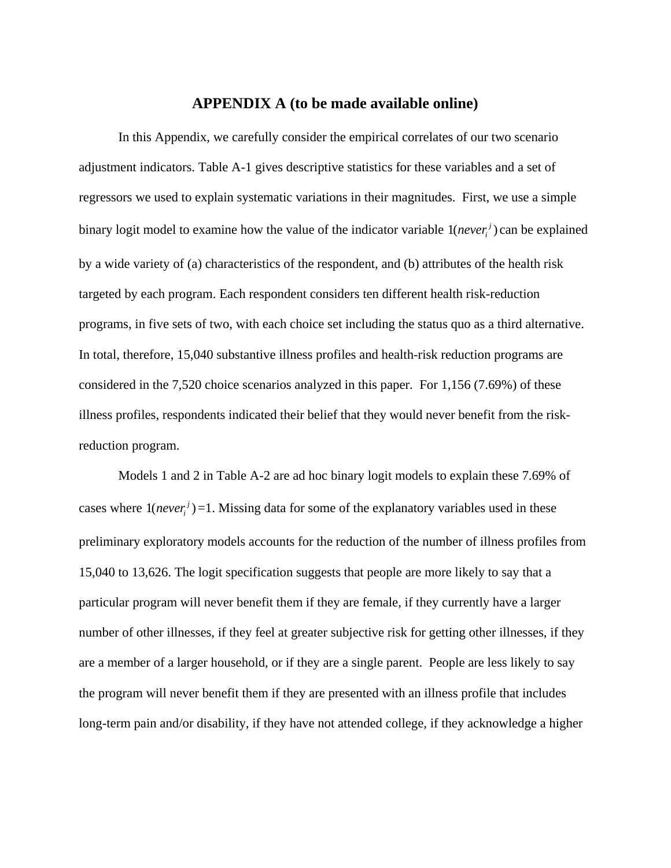### **APPENDIX A (to be made available online)**

In this Appendix, we carefully consider the empirical correlates of our two scenario adjustment indicators. Table A-1 gives descriptive statistics for these variables and a set of regressors we used to explain systematic variations in their magnitudes. First, we use a simple binary logit model to examine how the value of the indicator variable  $1(newer_i^j)$  can be explained by a wide variety of (a) characteristics of the respondent, and (b) attributes of the health risk targeted by each program. Each respondent considers ten different health risk-reduction programs, in five sets of two, with each choice set including the status quo as a third alternative. In total, therefore, 15,040 substantive illness profiles and health-risk reduction programs are considered in the 7,520 choice scenarios analyzed in this paper. For 1,156 (7.69%) of these illness profiles, respondents indicated their belief that they would never benefit from the riskreduction program.

Models 1 and 2 in Table A-2 are ad hoc binary logit models to explain these 7.69% of cases where  $1(newer_i^j) = 1$ . Missing data for some of the explanatory variables used in these preliminary exploratory models accounts for the reduction of the number of illness profiles from 15,040 to 13,626. The logit specification suggests that people are more likely to say that a particular program will never benefit them if they are female, if they currently have a larger number of other illnesses, if they feel at greater subjective risk for getting other illnesses, if they are a member of a larger household, or if they are a single parent. People are less likely to say the program will never benefit them if they are presented with an illness profile that includes long-term pain and/or disability, if they have not attended college, if they acknowledge a higher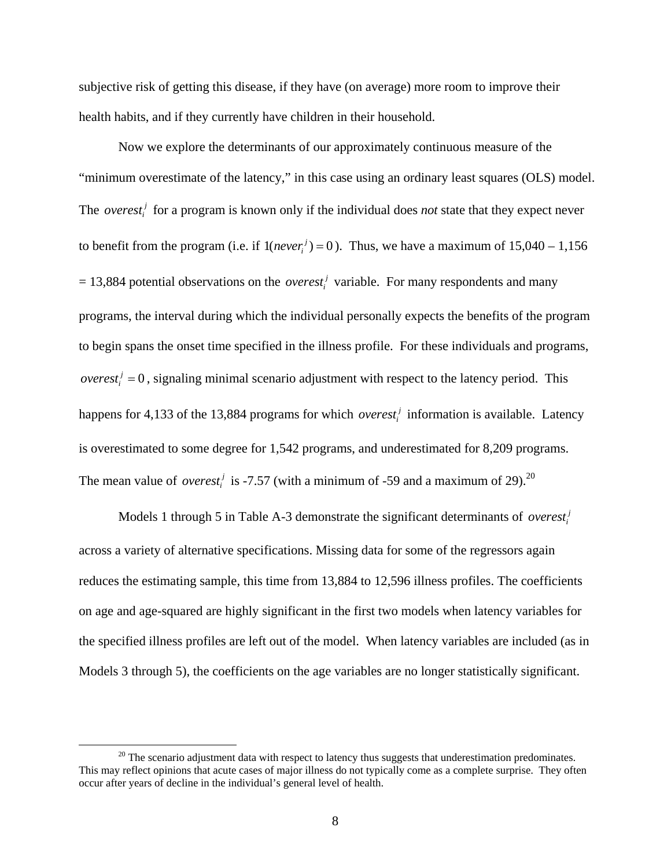subjective risk of getting this disease, if they have (on average) more room to improve their health habits, and if they currently have children in their household.

Now we explore the determinants of our approximately continuous measure of the "minimum overestimate of the latency," in this case using an ordinary least squares (OLS) model. The *overest<sub>i</sub>* for a program is known only if the individual does *not* state that they expect never to benefit from the program (i.e. if  $1(never<sub>i</sub><sup>j</sup>) = 0$ ). Thus, we have a maximum of  $15,040 - 1,156$  $= 13,884$  potential observations on the *overest<sub>i</sub>* variable. For many respondents and many programs, the interval during which the individual personally expects the benefits of the program to begin spans the onset time specified in the illness profile. For these individuals and programs,  $overest_i^j = 0$ , signaling minimal scenario adjustment with respect to the latency period. This happens for 4,133 of the 13,884 programs for which *overest*<sup> $j$ </sup> information is available. Latency is overestimated to some degree for 1,542 programs, and underestimated for 8,209 programs. The mean value of *overest<sub>i</sub>* is -7.57 (with a minimum of -59 and a maximum of 29).<sup>20</sup>

Models 1 through 5 in Table A-3 demonstrate the significant determinants of *overest*<sup>*i*</sup> across a variety of alternative specifications. Missing data for some of the regressors again reduces the estimating sample, this time from 13,884 to 12,596 illness profiles. The coefficients on age and age-squared are highly significant in the first two models when latency variables for the specified illness profiles are left out of the model. When latency variables are included (as in Models 3 through 5), the coefficients on the age variables are no longer statistically significant.

 $20$  The scenario adjustment data with respect to latency thus suggests that underestimation predominates. This may reflect opinions that acute cases of major illness do not typically come as a complete surprise. They often occur after years of decline in the individual's general level of health.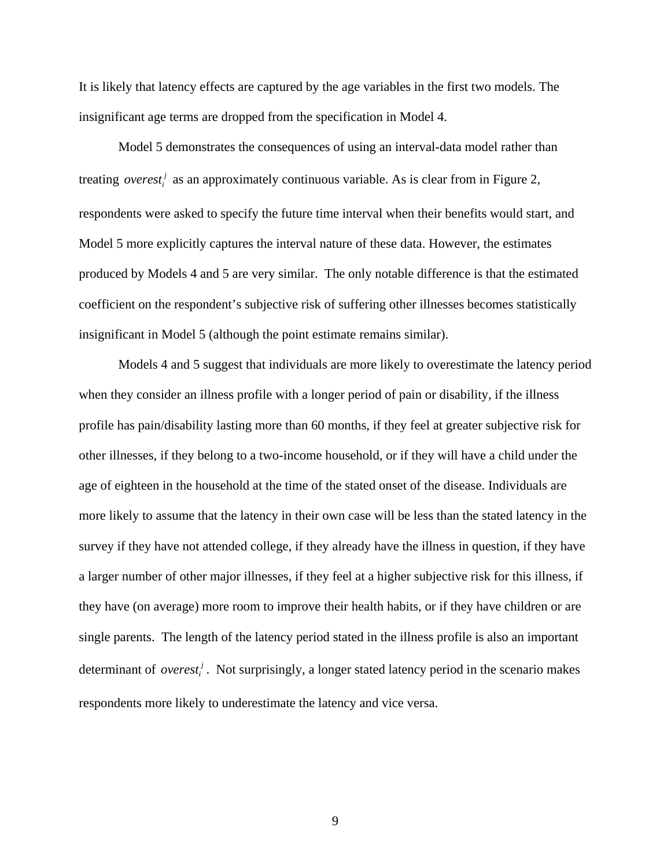It is likely that latency effects are captured by the age variables in the first two models. The insignificant age terms are dropped from the specification in Model 4.

Model 5 demonstrates the consequences of using an interval-data model rather than treating *overest<sub>i</sub>* as an approximately continuous variable. As is clear from in Figure 2, respondents were asked to specify the future time interval when their benefits would start, and Model 5 more explicitly captures the interval nature of these data. However, the estimates produced by Models 4 and 5 are very similar. The only notable difference is that the estimated coefficient on the respondent's subjective risk of suffering other illnesses becomes statistically insignificant in Model 5 (although the point estimate remains similar).

Models 4 and 5 suggest that individuals are more likely to overestimate the latency period when they consider an illness profile with a longer period of pain or disability, if the illness profile has pain/disability lasting more than 60 months, if they feel at greater subjective risk for other illnesses, if they belong to a two-income household, or if they will have a child under the age of eighteen in the household at the time of the stated onset of the disease. Individuals are more likely to assume that the latency in their own case will be less than the stated latency in the survey if they have not attended college, if they already have the illness in question, if they have a larger number of other major illnesses, if they feel at a higher subjective risk for this illness, if they have (on average) more room to improve their health habits, or if they have children or are single parents. The length of the latency period stated in the illness profile is also an important determinant of *overest*<sup>*i*</sup>. Not surprisingly, a longer stated latency period in the scenario makes respondents more likely to underestimate the latency and vice versa.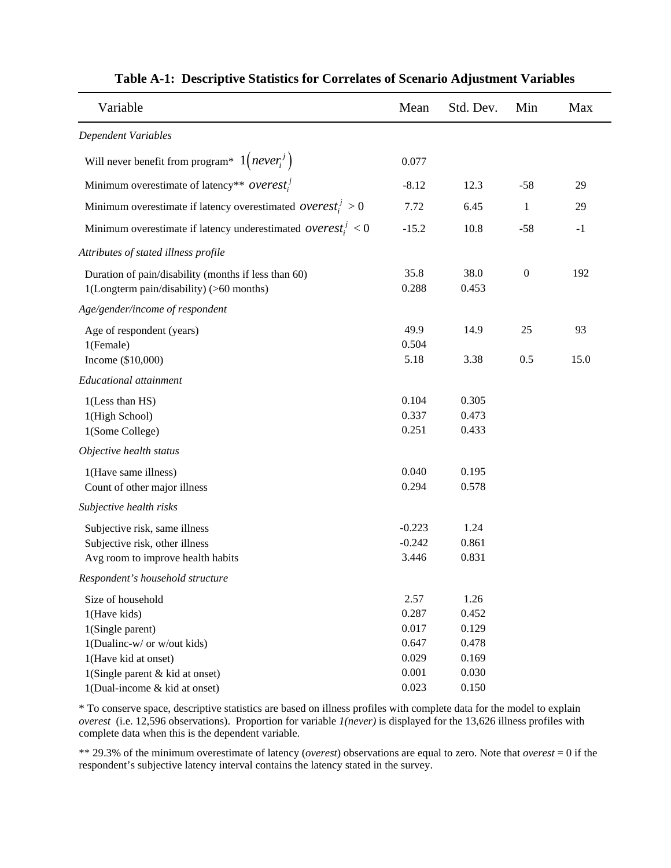| Variable                                                                                                     | Mean                                     | Std. Dev.                                | Min              | Max        |
|--------------------------------------------------------------------------------------------------------------|------------------------------------------|------------------------------------------|------------------|------------|
| <b>Dependent Variables</b>                                                                                   |                                          |                                          |                  |            |
| Will never benefit from program* $1(never_i^j)$                                                              | 0.077                                    |                                          |                  |            |
| Minimum overestimate of latency** <i>overest</i> <sup>1</sup>                                                | $-8.12$                                  | 12.3                                     | $-58$            | 29         |
| Minimum overestimate if latency overestimated <i>overest</i> <sup><math>j</math></sup> > 0                   | 7.72                                     | 6.45                                     | 1                | 29         |
| Minimum overestimate if latency underestimated <i>overest</i> <sup><math>j</math></sup> < 0                  | $-15.2$                                  | 10.8                                     | $-58$            | $-1$       |
| Attributes of stated illness profile                                                                         |                                          |                                          |                  |            |
| Duration of pain/disability (months if less than 60)<br>1(Longterm pain/disability) (>60 months)             | 35.8<br>0.288                            | 38.0<br>0.453                            | $\boldsymbol{0}$ | 192        |
| Age/gender/income of respondent                                                                              |                                          |                                          |                  |            |
| Age of respondent (years)<br>1(Female)<br>Income (\$10,000)                                                  | 49.9<br>0.504<br>5.18                    | 14.9<br>3.38                             | 25<br>0.5        | 93<br>15.0 |
| <b>Educational</b> attainment                                                                                |                                          |                                          |                  |            |
| 1(Less than HS)<br>1(High School)<br>1(Some College)                                                         | 0.104<br>0.337<br>0.251                  | 0.305<br>0.473<br>0.433                  |                  |            |
| Objective health status                                                                                      |                                          |                                          |                  |            |
| 1(Have same illness)<br>Count of other major illness                                                         | 0.040<br>0.294                           | 0.195<br>0.578                           |                  |            |
| Subjective health risks                                                                                      |                                          |                                          |                  |            |
| Subjective risk, same illness<br>Subjective risk, other illness<br>Avg room to improve health habits         | $-0.223$<br>$-0.242$<br>3.446            | 1.24<br>0.861<br>0.831                   |                  |            |
| Respondent's household structure                                                                             |                                          |                                          |                  |            |
| Size of household<br>1(Have kids)<br>1(Single parent)<br>1(Dualinc-w/ or w/out kids)<br>1(Have kid at onset) | 2.57<br>0.287<br>0.017<br>0.647<br>0.029 | 1.26<br>0.452<br>0.129<br>0.478<br>0.169 |                  |            |
| 1(Single parent & kid at onset)<br>1(Dual-income & kid at onset)                                             | 0.001<br>0.023                           | 0.030<br>0.150                           |                  |            |

## **Table A-1: Descriptive Statistics for Correlates of Scenario Adjustment Variables**

\* To conserve space, descriptive statistics are based on illness profiles with complete data for the model to explain *overest* (i.e. 12,596 observations). Proportion for variable *1(never)* is displayed for the 13,626 illness profiles with complete data when this is the dependent variable.

\*\* 29.3% of the minimum overestimate of latency (*overest*) observations are equal to zero. Note that *overest* = 0 if the respondent's subjective latency interval contains the latency stated in the survey.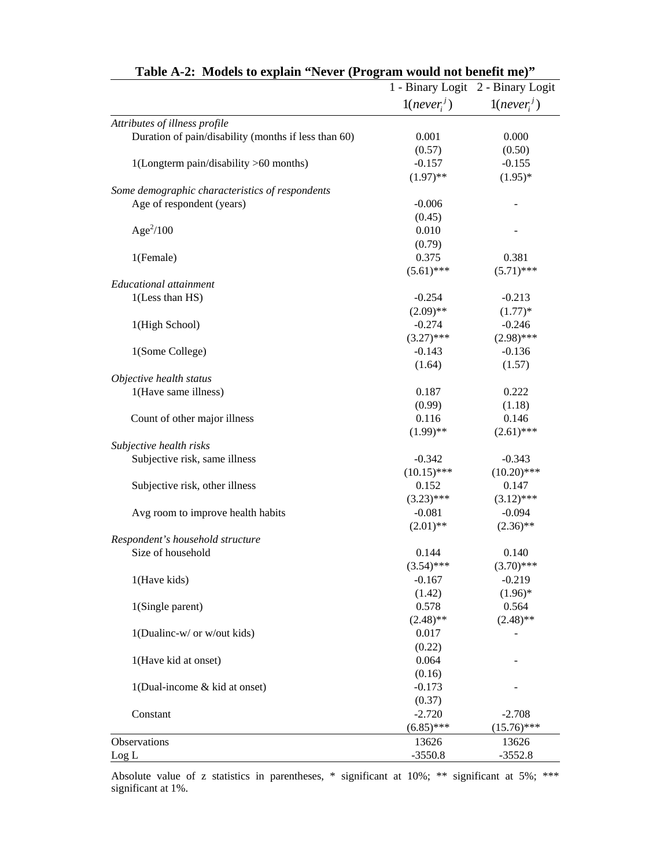|                                                      |                                     | 1 - Binary Logit 2 - Binary Logit   |
|------------------------------------------------------|-------------------------------------|-------------------------------------|
|                                                      | 1(never <sub>i</sub> <sup>j</sup> ) | 1(never <sub>i</sub> <sup>j</sup> ) |
| Attributes of illness profile                        |                                     |                                     |
| Duration of pain/disability (months if less than 60) | 0.001                               | 0.000                               |
|                                                      | (0.57)                              | (0.50)                              |
| 1(Longterm pain/disability $>60$ months)             | $-0.157$                            | $-0.155$                            |
|                                                      | $(1.97)$ **                         | $(1.95)*$                           |
| Some demographic characteristics of respondents      |                                     |                                     |
| Age of respondent (years)                            | $-0.006$                            |                                     |
|                                                      | (0.45)                              |                                     |
| Age $^{2}/100$                                       | 0.010                               |                                     |
|                                                      | (0.79)                              |                                     |
| 1(Female)                                            | 0.375                               | 0.381                               |
|                                                      | $(5.61)$ ***                        | $(5.71)$ ***                        |
| Educational attainment                               |                                     |                                     |
| 1(Less than HS)                                      | $-0.254$                            | $-0.213$                            |
|                                                      | $(2.09)$ **                         | $(1.77)*$                           |
| 1(High School)                                       | $-0.274$                            | $-0.246$                            |
|                                                      | $(3.27)$ ***                        | $(2.98)$ ***                        |
| 1(Some College)                                      | $-0.143$                            | $-0.136$                            |
|                                                      | (1.64)                              | (1.57)                              |
| Objective health status                              |                                     |                                     |
| 1(Have same illness)                                 | 0.187                               | 0.222                               |
|                                                      | (0.99)                              | (1.18)                              |
| Count of other major illness                         | 0.116                               | 0.146                               |
|                                                      | $(1.99)$ **                         | $(2.61)$ ***                        |
| Subjective health risks                              |                                     |                                     |
| Subjective risk, same illness                        | $-0.342$                            | $-0.343$                            |
|                                                      | $(10.15)$ ***                       | $(10.20)$ ***                       |
| Subjective risk, other illness                       | 0.152                               | 0.147                               |
|                                                      | $(3.23)$ ***                        | $(3.12)$ ***                        |
| Avg room to improve health habits                    | $-0.081$                            | $-0.094$                            |
|                                                      | $(2.01)$ **                         | $(2.36)$ **                         |
| Respondent's household structure                     |                                     |                                     |
| Size of household                                    | 0.144                               | 0.140                               |
|                                                      | $(3.54)$ ***                        | $(3.70)$ ***                        |
| 1(Have kids)                                         | $-0.167$                            | $-0.219$                            |
|                                                      | (1.42)                              | $(1.96)^*$                          |
| 1(Single parent)                                     | 0.578                               | 0.564                               |
|                                                      | $(2.48)$ **                         | $(2.48)$ **                         |
| 1(Dualinc-w/ or w/out kids)                          | 0.017                               |                                     |
|                                                      | (0.22)                              |                                     |
| 1(Have kid at onset)                                 | 0.064                               |                                     |
|                                                      | (0.16)                              |                                     |
| 1(Dual-income & kid at onset)                        | $-0.173$                            |                                     |
|                                                      | (0.37)                              |                                     |
| Constant                                             | $-2.720$                            | $-2.708$                            |
|                                                      | $(6.85)$ ***                        | $(15.76)$ ***                       |
| Observations                                         | 13626                               | 13626                               |
| Log L                                                | $-3550.8$                           | $-3552.8$                           |

**Table A-2: Models to explain "Never (Program would not benefit me)"**

Absolute value of z statistics in parentheses, \* significant at 10%; \*\* significant at 5%; \*\*\* significant at 1%.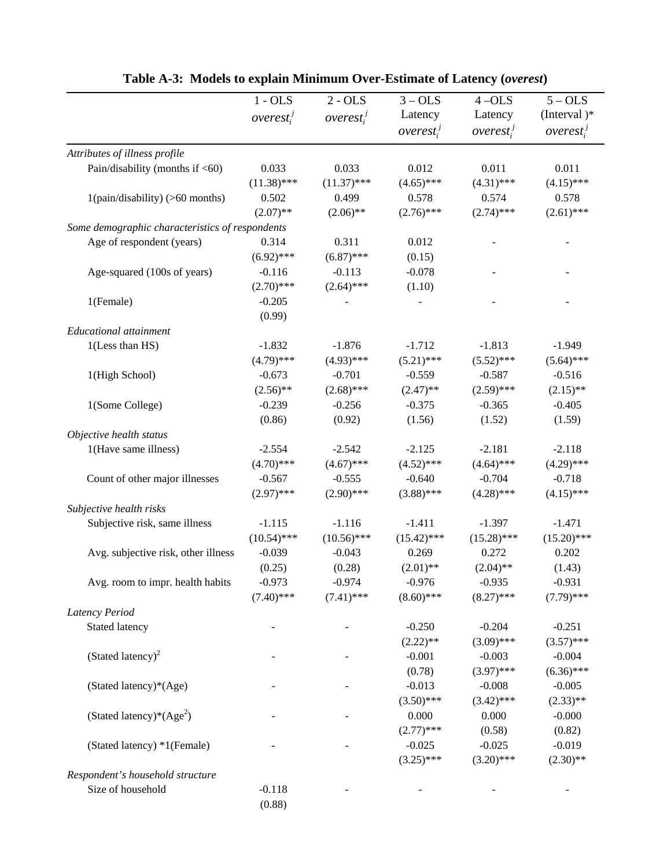|                                                 | $1 - OLS$<br>$overest_i^j$ | $2 - OLS$<br>$overest_i^j$ | $3 - OLS$<br>Latency | $4 - OLS$<br>Latency | $5 - OLS$<br>(Interval) $*$ |
|-------------------------------------------------|----------------------------|----------------------------|----------------------|----------------------|-----------------------------|
|                                                 |                            |                            | $overest_i^j$        | $overest_i^j$        | $overest_i^j$               |
| Attributes of illness profile                   |                            |                            |                      |                      |                             |
| Pain/disability (months if <60)                 | 0.033                      | 0.033                      | 0.012                | 0.011                | 0.011                       |
|                                                 | $(11.38)$ ***              | $(11.37)$ ***              | $(4.65)$ ***         | $(4.31)$ ***         | $(4.15)$ ***                |
| $1$ (pain/disability) (>60 months)              | 0.502                      | 0.499                      | 0.578                | 0.574                | 0.578                       |
|                                                 | $(2.07)$ **                | $(2.06)$ **                | $(2.76)$ ***         | $(2.74)$ ***         | $(2.61)$ ***                |
| Some demographic characteristics of respondents |                            |                            |                      |                      |                             |
| Age of respondent (years)                       | 0.314                      | 0.311                      | 0.012                |                      |                             |
|                                                 | $(6.92)$ ***               | $(6.87)$ ***               | (0.15)               |                      |                             |
| Age-squared (100s of years)                     | $-0.116$                   | $-0.113$                   | $-0.078$             |                      |                             |
|                                                 | $(2.70)$ ***               | $(2.64)$ ***               | (1.10)               |                      |                             |
| 1(Female)                                       | $-0.205$                   |                            |                      |                      |                             |
|                                                 | (0.99)                     |                            |                      |                      |                             |
| <b>Educational</b> attainment                   |                            |                            |                      |                      |                             |
| 1(Less than HS)                                 | $-1.832$                   | $-1.876$                   | $-1.712$             | $-1.813$             | $-1.949$                    |
|                                                 | $(4.79)$ ***               | $(4.93)$ ***               | $(5.21)$ ***         | $(5.52)$ ***         | $(5.64)$ ***                |
|                                                 | $-0.673$                   | $-0.701$                   | $-0.559$             | $-0.587$             | $-0.516$                    |
| 1(High School)                                  |                            |                            |                      | $(2.59)$ ***         |                             |
|                                                 | $(2.56)$ **                | $(2.68)$ ***               | $(2.47)$ **          |                      | $(2.15)$ **                 |
| 1(Some College)                                 | $-0.239$                   | $-0.256$                   | $-0.375$             | $-0.365$             | $-0.405$                    |
|                                                 | (0.86)                     | (0.92)                     | (1.56)               | (1.52)               | (1.59)                      |
| Objective health status                         |                            |                            |                      |                      |                             |
| 1(Have same illness)                            | $-2.554$                   | $-2.542$                   | $-2.125$             | $-2.181$             | $-2.118$                    |
|                                                 | $(4.70)$ ***               | $(4.67)$ ***               | $(4.52)$ ***         | $(4.64)$ ***         | $(4.29)$ ***                |
| Count of other major illnesses                  | $-0.567$                   | $-0.555$                   | $-0.640$             | $-0.704$             | $-0.718$                    |
|                                                 | $(2.97)$ ***               | $(2.90)$ ***               | $(3.88)$ ***         | $(4.28)$ ***         | $(4.15)$ ***                |
| Subjective health risks                         |                            |                            |                      |                      |                             |
| Subjective risk, same illness                   | $-1.115$                   | $-1.116$                   | $-1.411$             | $-1.397$             | $-1.471$                    |
|                                                 | $(10.54)$ ***              | $(10.56)$ ***              | $(15.42)$ ***        | $(15.28)$ ***        | $(15.20)$ ***               |
| Avg. subjective risk, other illness             | $-0.039$                   | $-0.043$                   | 0.269                | 0.272                | 0.202                       |
|                                                 | (0.25)                     | (0.28)                     | $(2.01)$ **          | $(2.04)$ **          | (1.43)                      |
| Avg. room to impr. health habits                | $-0.973$                   | $-0.974$                   | $-0.976$             | $-0.935$             | $-0.931$                    |
|                                                 | $(7.40)$ ***               | $(7.41)$ ***               | $(8.60)$ ***         | $(8.27)$ ***         | $(7.79)$ ***                |
| Latency Period                                  |                            |                            |                      |                      |                             |
| Stated latency                                  |                            |                            | $-0.250$             | $-0.204$             | $-0.251$                    |
|                                                 |                            |                            | $(2.22)$ **          | $(3.09)$ ***         | $(3.57)$ ***                |
| (Stated latency) <sup>2</sup>                   |                            |                            | $-0.001$             | $-0.003$             | $-0.004$                    |
|                                                 |                            |                            | (0.78)               | $(3.97)$ ***         | $(6.36)$ ***                |
| (Stated latency)*(Age)                          |                            |                            | $-0.013$             | $-0.008$             | $-0.005$                    |
|                                                 |                            |                            | $(3.50)$ ***         | $(3.42)$ ***         | $(2.33)$ **                 |
| (Stated latency)*(Age <sup>2</sup> )            |                            |                            | 0.000                | 0.000                | $-0.000$                    |
|                                                 |                            |                            | $(2.77)$ ***         | (0.58)               | (0.82)                      |
| (Stated latency) *1(Female)                     |                            |                            | $-0.025$             | $-0.025$             | $-0.019$                    |
|                                                 |                            |                            | $(3.25)$ ***         | $(3.20)$ ***         | $(2.30)$ **                 |
| Respondent's household structure                |                            |                            |                      |                      |                             |
| Size of household                               | $-0.118$                   |                            |                      |                      | $\overline{\phantom{a}}$    |
|                                                 | (0.88)                     |                            |                      |                      |                             |
|                                                 |                            |                            |                      |                      |                             |

|  | Table A-3: Models to explain Minimum Over-Estimate of Latency (overest) |  |
|--|-------------------------------------------------------------------------|--|
|  |                                                                         |  |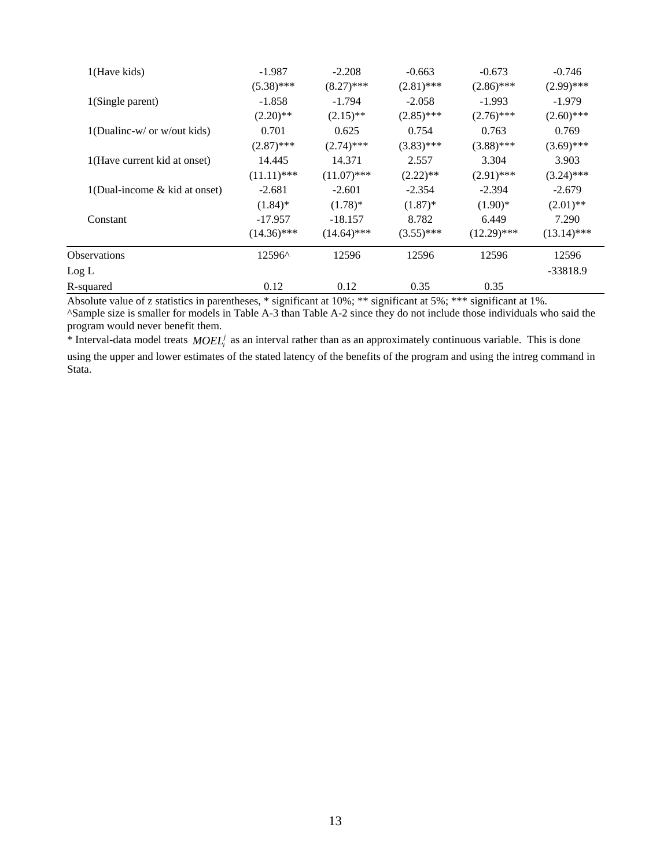| 1(Have kids)                  | $-1.987$      | $-2.208$      | $-0.663$     | $-0.673$      | $-0.746$      |
|-------------------------------|---------------|---------------|--------------|---------------|---------------|
|                               | $(5.38)$ ***  | $(8.27)$ ***  | $(2.81)$ *** | $(2.86)$ ***  | $(2.99)$ ***  |
| 1(Single parent)              | $-1.858$      | $-1.794$      | $-2.058$     | $-1.993$      | $-1.979$      |
|                               | $(2.20)$ **   | $(2.15)$ **   | $(2.85)$ *** | $(2.76)$ ***  | $(2.60)$ ***  |
| 1(Dualinc-w/ or w/out kids)   | 0.701         | 0.625         | 0.754        | 0.763         | 0.769         |
|                               | $(2.87)$ ***  | $(2.74)$ ***  | $(3.83)$ *** | $(3.88)$ ***  | $(3.69)$ ***  |
| 1(Have current kid at onset)  | 14.445        | 14.371        | 2.557        | 3.304         | 3.903         |
|                               | $(11.11)$ *** | $(11.07)$ *** | $(2.22)$ **  | $(2.91)$ ***  | $(3.24)$ ***  |
| 1(Dual-income & kid at onset) | $-2.681$      | $-2.601$      | $-2.354$     | $-2.394$      | $-2.679$      |
|                               | $(1.84)$ *    | $(1.78)$ *    | $(1.87)$ *   | $(1.90)*$     | $(2.01)$ **   |
| Constant                      | $-17.957$     | $-18.157$     | 8.782        | 6.449         | 7.290         |
|                               | $(14.36)$ *** | $(14.64)$ *** | $(3.55)$ *** | $(12.29)$ *** | $(13.14)$ *** |
| Observations                  | 12596^        | 12596         | 12596        | 12596         | 12596         |
| Log L                         |               |               |              |               | $-33818.9$    |
| R-squared                     | 0.12          | 0.12          | 0.35         | 0.35          |               |

Absolute value of z statistics in parentheses, \* significant at 10%; \*\* significant at 5%; \*\*\* significant at 1%.

^Sample size is smaller for models in Table A-3 than Table A-2 since they do not include those individuals who said the program would never benefit them.

\* Interval-data model treats  $MOEL_i^j$  as an interval rather than as an approximately continuous variable. This is done using the upper and lower estimates of the stated latency of the benefits of the program and using the intreg command in Stata.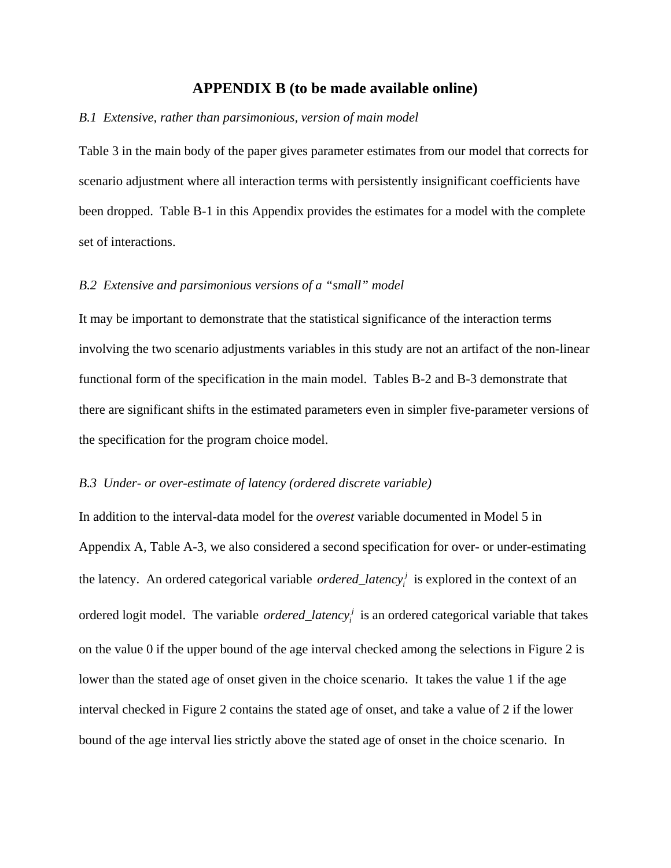### **APPENDIX B (to be made available online)**

#### *B.1 Extensive, rather than parsimonious, version of main model*

Table 3 in the main body of the paper gives parameter estimates from our model that corrects for scenario adjustment where all interaction terms with persistently insignificant coefficients have been dropped. Table B-1 in this Appendix provides the estimates for a model with the complete set of interactions.

### *B.2 Extensive and parsimonious versions of a "small" model*

It may be important to demonstrate that the statistical significance of the interaction terms involving the two scenario adjustments variables in this study are not an artifact of the non-linear functional form of the specification in the main model. Tables B-2 and B-3 demonstrate that there are significant shifts in the estimated parameters even in simpler five-parameter versions of the specification for the program choice model.

#### *B.3 Under- or over-estimate of latency (ordered discrete variable)*

In addition to the interval-data model for the *overest* variable documented in Model 5 in Appendix A, Table A-3, we also considered a second specification for over- or under-estimating the latency. An ordered categorical variable *ordered\_latency*<sup>*i*</sup> is explored in the context of an ordered logit model. The variable *ordered\_latency*<sup>*i*</sup> is an ordered categorical variable that takes on the value 0 if the upper bound of the age interval checked among the selections in Figure 2 is lower than the stated age of onset given in the choice scenario. It takes the value 1 if the age interval checked in Figure 2 contains the stated age of onset, and take a value of 2 if the lower bound of the age interval lies strictly above the stated age of onset in the choice scenario. In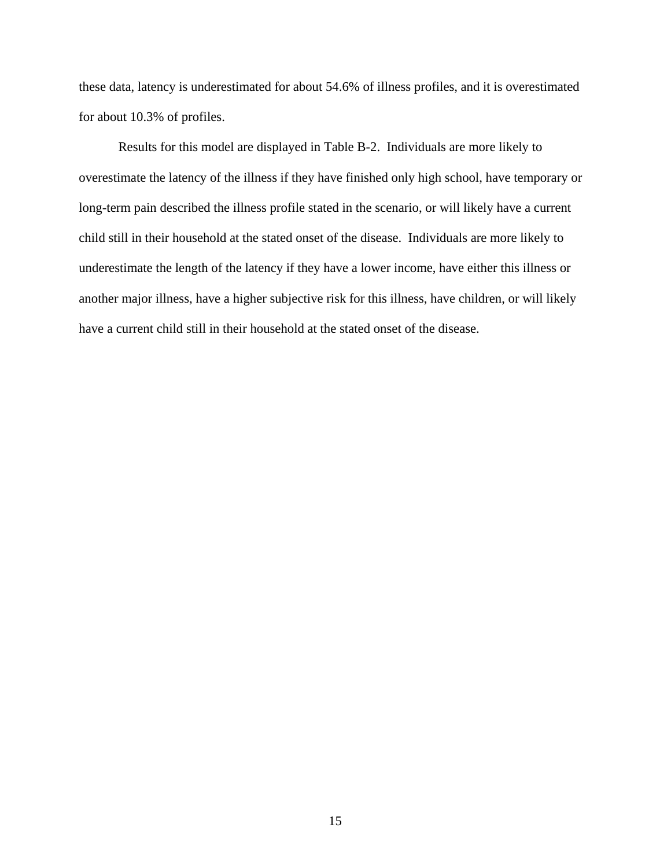these data, latency is underestimated for about 54.6% of illness profiles, and it is overestimated for about 10.3% of profiles.

Results for this model are displayed in Table B-2. Individuals are more likely to overestimate the latency of the illness if they have finished only high school, have temporary or long-term pain described the illness profile stated in the scenario, or will likely have a current child still in their household at the stated onset of the disease. Individuals are more likely to underestimate the length of the latency if they have a lower income, have either this illness or another major illness, have a higher subjective risk for this illness, have children, or will likely have a current child still in their household at the stated onset of the disease.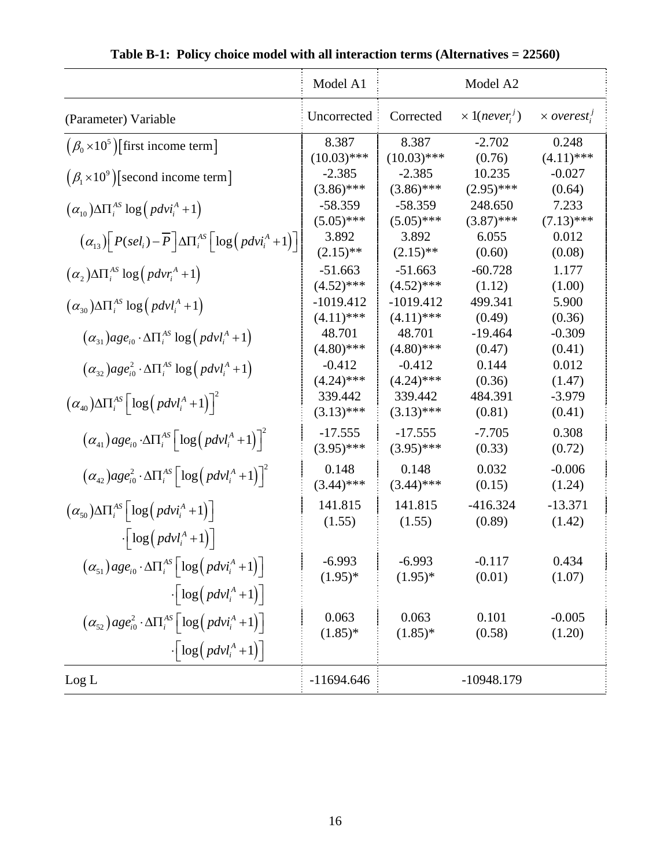|                                                                                                                        | Model A1      |               | Model A2                         |                               |
|------------------------------------------------------------------------------------------------------------------------|---------------|---------------|----------------------------------|-------------------------------|
| (Parameter) Variable                                                                                                   | Uncorrected   | Corrected     | $\times$ 1(never, <sup>1</sup> ) | $\times$ overest <sub>i</sub> |
| $(\beta_0 \times 10^5)$ first income term                                                                              | 8.387         | 8.387         | $-2.702$                         | 0.248                         |
|                                                                                                                        | $(10.03)$ *** | $(10.03)$ *** | (0.76)                           | $(4.11)$ ***                  |
| $(\beta_1 \times 10^9)$ [second income term]                                                                           | $-2.385$      | $-2.385$      | 10.235                           | $-0.027$                      |
|                                                                                                                        | $(3.86)$ ***  | $(3.86)$ ***  | $(2.95)$ ***                     | (0.64)                        |
| $(\alpha_{10})\Delta\Pi_i^{AS}\log\left(\rho dv_i^A+1\right)$                                                          | $-58.359$     | $-58.359$     | 248.650                          | 7.233                         |
|                                                                                                                        | $(5.05)$ ***  | $(5.05)$ ***  | $(3.87)$ ***                     | $(7.13)$ ***                  |
| $(\alpha_{13})\left[P(self_i)-\overline{P}\right]\Delta\Pi_i^{AS}\left[\log\left(pdv_i^A+1\right)\right]$              | 3.892         | 3.892         | 6.055                            | 0.012                         |
|                                                                                                                        | $(2.15)$ **   | $(2.15)$ **   | (0.60)                           | (0.08)                        |
| $(\alpha_2) \Delta \Pi_i^{AS} \log (pdvr_i^A + 1)$                                                                     | $-51.663$     | $-51.663$     | $-60.728$                        | 1.177                         |
|                                                                                                                        | $(4.52)$ ***  | $(4.52)$ ***  | (1.12)                           | (1.00)                        |
| $(\alpha_{30})\Delta\Pi_i^{AS}\log\left(\rho dv l_i^A+1\right)$                                                        | $-1019.412$   | $-1019.412$   | 499.341                          | 5.900                         |
|                                                                                                                        | $(4.11)$ ***  | $(4.11)$ ***  | (0.49)                           | (0.36)                        |
| $(\alpha_{31})$ age <sub>i0</sub> · $\Delta \Pi_i^{AS}$ log $\left( pdvl_i^A + 1 \right)$                              | 48.701        | 48.701        | $-19.464$                        | $-0.309$                      |
|                                                                                                                        | $(4.80)$ ***  | $(4.80)$ ***  | (0.47)                           | (0.41)                        |
| $(\alpha_{32})$ age <sup>2</sup> <sub>i0</sub> · $\Delta\Pi_i^{AS}$ log $\left( pdvl_i^A + 1 \right)$                  | $-0.412$      | $-0.412$      | 0.144                            | 0.012                         |
|                                                                                                                        | $(4.24)$ ***  | $(4.24)$ ***  | (0.36)                           | (1.47)                        |
| $(\alpha_{40})\Delta\Pi_i^{AS} \left[ \log \left( \frac{pdvl_i^A+1}{\epsilon}\right) \right]^2$                        | 339.442       | 339.442       | 484.391                          | $-3.979$                      |
|                                                                                                                        | $(3.13)$ ***  | $(3.13)$ ***  | (0.81)                           | (0.41)                        |
|                                                                                                                        | $-17.555$     | $-17.555$     | $-7.705$                         | 0.308                         |
| $(\alpha_{41})$ age <sub>i0</sub> $\cdot \Delta \Pi_i^{AS}$ $\left[ \log \left( pdv l_i^A + 1 \right) \right]^2$       | $(3.95)$ ***  | $(3.95)$ ***  | (0.33)                           | (0.72)                        |
|                                                                                                                        | 0.148         | 0.148         | 0.032                            | $-0.006$                      |
| $(\alpha_{42})$ age <sup>2</sup> <sub>i0</sub> · $\Delta \Pi_i^{AS}$ $\left[ \log \left( pdvl_i^A+1 \right) \right]^2$ | $(3.44)$ ***  | $(3.44)$ ***  | (0.15)                           | (1.24)                        |
|                                                                                                                        |               | 141.815       |                                  |                               |
| $(\alpha_{50})\Delta\Pi_i^{AS} \left[ \log \left( \rho dv i_i^A + 1 \right) \right]$                                   | 141.815       |               | $-416.324$                       | $-13.371$                     |
| $\cdot \left  \log \left( \frac{pdv l_i^A + 1}{\right) \right $                                                        | (1.55)        | (1.55)        | (0.89)                           | (1.42)                        |
| $(\alpha_{51})$ age <sub>i0</sub> · $\Delta \Pi_i^{AS} \left[ \log \left( p dv_i^A + 1 \right) \right]$                | $-6.993$      | $-6.993$      | $-0.117$                         | 0.434                         |
|                                                                                                                        | $(1.95)^*$    | $(1.95)^*$    | (0.01)                           | (1.07)                        |
| $\cdot \left  \log \left( \frac{pdv l_i^A + 1}{\right) \right $                                                        |               |               |                                  |                               |
| $(\alpha_{52})$ age <sup>2</sup> <sub>i0</sub> · $\Delta\Pi_i^{AS}$   log( $pdvi_i^A + 1$ )                            | 0.063         | 0.063         | 0.101                            | $-0.005$                      |
|                                                                                                                        | $(1.85)^*$    | $(1.85)^*$    | (0.58)                           | (1.20)                        |
| $\cdot \left  \log \left( \frac{pdvl_i^A + 1}{\right) \right $                                                         |               |               |                                  |                               |
| Log L                                                                                                                  | $-11694.646$  |               | -10948.179                       |                               |

**Table B-1: Policy choice model with all interaction terms (Alternatives = 22560)**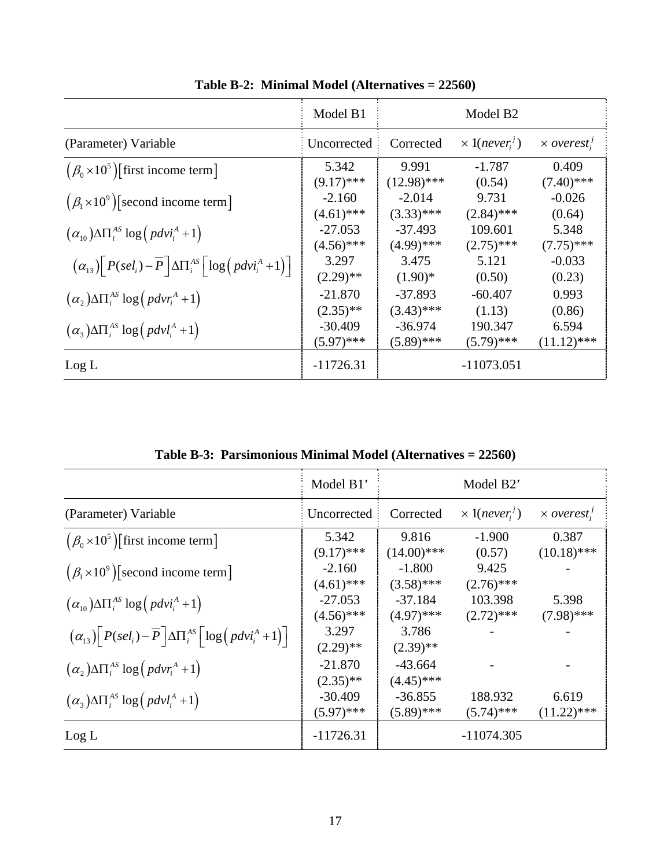|                                                                                                           | Model B1     |               | Model B <sub>2</sub>             |                               |
|-----------------------------------------------------------------------------------------------------------|--------------|---------------|----------------------------------|-------------------------------|
| (Parameter) Variable                                                                                      | Uncorrected  | Corrected     | $\times$ 1(never, <sup>1</sup> ) | $\times$ overest <sup>1</sup> |
| $(\beta_0 \times 10^5)$ [first income term]                                                               | 5.342        | 9.991         | $-1.787$                         | 0.409                         |
|                                                                                                           | $(9.17)$ *** | $(12.98)$ *** | (0.54)                           | $(7.40)$ ***                  |
| $(\beta_1 \times 10^9)$ second income term                                                                | $-2.160$     | $-2.014$      | 9.731                            | $-0.026$                      |
|                                                                                                           | $(4.61)$ *** | $(3.33)$ ***  | $(2.84)$ ***                     | (0.64)                        |
| $(\alpha_{10})\Delta\Pi_i^{AS}\log\left(\rho dv_i^A+1\right)$                                             | $-27.053$    | $-37.493$     | 109.601                          | 5.348                         |
|                                                                                                           | $(4.56)$ *** | $(4.99)$ ***  | $(2.75)$ ***                     | $(7.75)$ ***                  |
| $(\alpha_{13})\left[P(self_i)-\overline{P}\right]\Delta\Pi_i^{AS}\left[\log\left(pdv_i^A+1\right)\right]$ | 3.297        | 3.475         | 5.121                            | $-0.033$                      |
|                                                                                                           | $(2.29)$ **  | $(1.90)*$     | (0.50)                           | (0.23)                        |
| $(\alpha_2) \Delta \Pi_i^{AS} \log (pdvr_i^A + 1)$                                                        | $-21.870$    | $-37.893$     | $-60.407$                        | 0.993                         |
|                                                                                                           | $(2.35)$ **  | $(3.43)$ ***  | (1.13)                           | (0.86)                        |
| $(\alpha_{3})\Delta\Pi_{i}^{AS}\log\left(\rho d\nu l_{i}^{A}+1\right)$                                    | $-30.409$    | $-36.974$     | 190.347                          | 6.594                         |
|                                                                                                           | $(5.97)$ *** | $(5.89)$ ***  | $(5.79)$ ***                     | $(11.12)$ ***                 |
| Log L                                                                                                     | $-11726.31$  |               | $-11073.051$                     |                               |

**Table B-2: Minimal Model (Alternatives = 22560)** 

**Table B-3: Parsimonious Minimal Model (Alternatives = 22560)**

|                                                                                                           | Model B1'                 |                           | Model B <sub>2</sub> '           |                                |
|-----------------------------------------------------------------------------------------------------------|---------------------------|---------------------------|----------------------------------|--------------------------------|
| (Parameter) Variable                                                                                      | Uncorrected               | Corrected                 | $\times$ 1(never, <sup>1</sup> ) | $\times$ overest, <sup>1</sup> |
| $(\beta_0 \times 10^5)$ first income term                                                                 | 5.342<br>$(9.17)$ ***     | 9.816<br>$(14.00)$ ***    | $-1.900$<br>(0.57)               | 0.387<br>$(10.18)$ ***         |
| $(\beta_1 \times 10^9)$ [second income term]                                                              | $-2.160$<br>$(4.61)$ ***  | $-1.800$<br>$(3.58)$ ***  | 9.425<br>$(2.76)$ ***            |                                |
| $(\alpha_{10})\Delta\Pi_i^{AS}\log\left(\rho dv_i^A+1\right)$                                             | $-27.053$<br>$(4.56)$ *** | $-37.184$<br>$(4.97)$ *** | 103.398<br>$(2.72)$ ***          | 5.398<br>$(7.98)$ ***          |
| $(\alpha_{13})\left[P(self_i)-\overline{P}\right]\Delta\Pi_i^{AS}\left[\log\left(pdv_i^A+1\right)\right]$ | 3.297<br>$(2.29)$ **      | 3.786<br>$(2.39)$ **      |                                  |                                |
| $(\alpha_2) \Delta \Pi_i^{AS} \log (pdvr_i^A + 1)$                                                        | $-21.870$<br>$(2.35)$ **  | $-43.664$<br>$(4.45)$ *** |                                  |                                |
| $(\alpha_{3})\Delta\Pi_{i}^{AS}\log\left(\rho d\nu l_{i}^{A}+1\right)$                                    | $-30.409$<br>$(5.97)$ *** | $-36.855$<br>$(5.89)$ *** | 188.932<br>$(5.74)$ ***          | 6.619<br>$(11.22)$ ***         |
| Log L                                                                                                     | $-11726.31$               |                           | $-11074.305$                     |                                |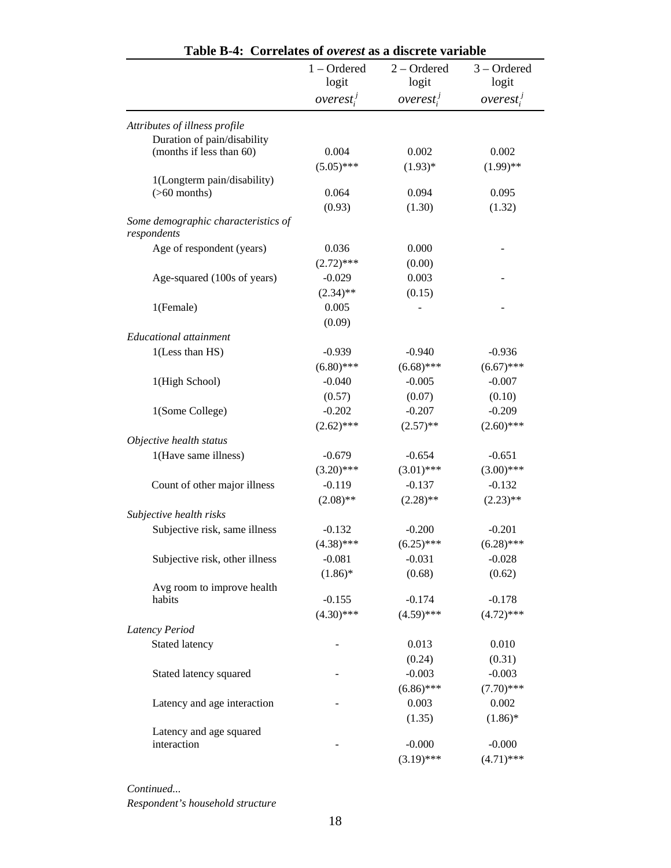|                                                                                                                   | $1 -$ Ordered<br>logit | $2 -$ Ordered<br>logit                                                                     | $3 -$ Ordered<br>logit                                                                         |
|-------------------------------------------------------------------------------------------------------------------|------------------------|--------------------------------------------------------------------------------------------|------------------------------------------------------------------------------------------------|
|                                                                                                                   | $overest_i^j$          | $overest_i^j$                                                                              | $overest_i^j$                                                                                  |
| Attributes of illness profile                                                                                     |                        |                                                                                            |                                                                                                |
| Duration of pain/disability                                                                                       |                        |                                                                                            |                                                                                                |
| (months if less than 60)                                                                                          | 0.004                  | 0.002                                                                                      | 0.002                                                                                          |
|                                                                                                                   | $(5.05)$ ***           | $(1.93)*$                                                                                  | $(1.99)$ **                                                                                    |
| 1(Longterm pain/disability)                                                                                       |                        |                                                                                            |                                                                                                |
| $($ >60 months)                                                                                                   | 0.064                  | 0.094                                                                                      | 0.095                                                                                          |
|                                                                                                                   | (0.93)                 | (1.30)                                                                                     | (1.32)                                                                                         |
| Some demographic characteristics of<br>respondents                                                                |                        |                                                                                            |                                                                                                |
| Age of respondent (years)                                                                                         | 0.036                  | 0.000                                                                                      |                                                                                                |
|                                                                                                                   | $(2.72)$ ***           | (0.00)                                                                                     |                                                                                                |
| Age-squared (100s of years)                                                                                       | $-0.029$               | 0.003                                                                                      |                                                                                                |
|                                                                                                                   | $(2.34)$ **            | (0.15)                                                                                     |                                                                                                |
| 1(Female)                                                                                                         | 0.005                  |                                                                                            |                                                                                                |
|                                                                                                                   | (0.09)                 |                                                                                            |                                                                                                |
| <b>Educational</b> attainment                                                                                     |                        |                                                                                            |                                                                                                |
| 1(Less than HS)                                                                                                   | $-0.939$               | $-0.940$                                                                                   | $-0.936$                                                                                       |
|                                                                                                                   | $(6.80)$ ***           | $(6.68)$ ***                                                                               | $(6.67)$ ***                                                                                   |
| 1(High School)                                                                                                    | $-0.040$               | $-0.005$                                                                                   | $-0.007$                                                                                       |
|                                                                                                                   | (0.57)                 | (0.07)                                                                                     | (0.10)                                                                                         |
| 1(Some College)                                                                                                   | $-0.202$               | $-0.207$                                                                                   | $-0.209$                                                                                       |
|                                                                                                                   | $(2.62)$ ***           | $(2.57)$ **                                                                                | $(2.60)$ ***                                                                                   |
| Objective health status                                                                                           |                        |                                                                                            |                                                                                                |
| 1(Have same illness)                                                                                              | $-0.679$               | $-0.654$                                                                                   | $-0.651$                                                                                       |
|                                                                                                                   | $(3.20)$ ***           | $(3.01)$ ***                                                                               | $(3.00)$ ***                                                                                   |
| Count of other major illness                                                                                      | $-0.119$               | $-0.137$                                                                                   | $-0.132$                                                                                       |
|                                                                                                                   | $(2.08)$ **            | $(2.28)$ **                                                                                | $(2.23)$ **                                                                                    |
| Subjective health risks                                                                                           |                        |                                                                                            |                                                                                                |
| Subjective risk, same illness                                                                                     | $-0.132$               | $-0.200$                                                                                   | $-0.201$                                                                                       |
|                                                                                                                   | $(4.38)$ ***           | $(6.25)$ ***                                                                               | $(6.28)$ ***                                                                                   |
| Subjective risk, other illness                                                                                    | $-0.081$               | $-0.031$                                                                                   | $-0.028$                                                                                       |
|                                                                                                                   | $(1.86)$ *             | (0.68)                                                                                     | (0.62)                                                                                         |
| Avg room to improve health                                                                                        |                        |                                                                                            |                                                                                                |
| habits                                                                                                            | $-0.155$               | $-0.174$                                                                                   | $-0.178$                                                                                       |
|                                                                                                                   | $(4.30)$ ***           | $(4.59)$ ***                                                                               | $(4.72)$ ***                                                                                   |
| Latency Period                                                                                                    |                        |                                                                                            |                                                                                                |
|                                                                                                                   |                        |                                                                                            |                                                                                                |
|                                                                                                                   |                        |                                                                                            |                                                                                                |
|                                                                                                                   |                        |                                                                                            |                                                                                                |
|                                                                                                                   |                        |                                                                                            |                                                                                                |
|                                                                                                                   |                        |                                                                                            |                                                                                                |
|                                                                                                                   |                        |                                                                                            |                                                                                                |
|                                                                                                                   |                        |                                                                                            |                                                                                                |
|                                                                                                                   |                        |                                                                                            |                                                                                                |
| Stated latency<br>Stated latency squared<br>Latency and age interaction<br>Latency and age squared<br>interaction |                        | 0.013<br>(0.24)<br>$-0.003$<br>$(6.86)$ ***<br>0.003<br>(1.35)<br>$-0.000$<br>$(3.19)$ *** | 0.010<br>(0.31)<br>$-0.003$<br>$(7.70)$ ***<br>0.002<br>$(1.86)^*$<br>$-0.000$<br>$(4.71)$ *** |

|  |  | Table B-4: Correlates of <i>overest</i> as a discrete variable |  |  |
|--|--|----------------------------------------------------------------|--|--|
|--|--|----------------------------------------------------------------|--|--|

*Continued... Respondent's household structure*